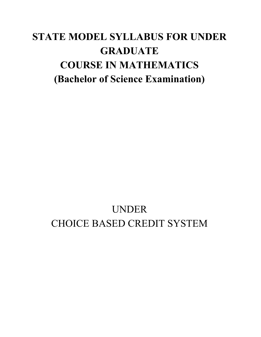# **STATE MODEL SYLLABUS FOR UNDER GRADUATE COURSE IN MATHEMATICS (Bachelor of Science Examination)**

# UNDER CHOICE BASED CREDIT SYSTEM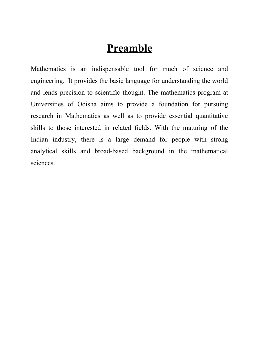# **Preamble**

Mathematics is an indispensable tool for much of science and engineering. It provides the basic language for understanding the world and lends precision to scientific thought. The mathematics program at Universities of Odisha aims to provide a foundation for pursuing research in Mathematics as well as to provide essential quantitative skills to those interested in related fields. With the maturing of the Indian industry, there is a large demand for people with strong analytical skills and broad-based background in the mathematical sciences.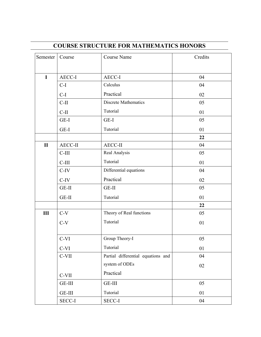| Semester     | Course        | <b>Course Name</b>                 | Credits |
|--------------|---------------|------------------------------------|---------|
| $\mathbf I$  | AECC-I        | AECC-I                             | 04      |
|              | $C-I$         | Calculus                           | 04      |
|              | $C-I$         | Practical                          | 02      |
|              | $C-II$        | <b>Discrete Mathematics</b>        | 05      |
|              | $C-II$        | Tutorial                           | 01      |
|              | GE-I          | GE-I                               | 05      |
|              |               |                                    |         |
|              | GE-I          | Tutorial                           | 01      |
|              |               |                                    | 22      |
| $\mathbf{I}$ | AECC-II       | <b>AECC-II</b>                     | 04      |
|              | $C-III$       | Real Analysis                      | 05      |
|              | $C-III$       | Tutorial                           | 01      |
|              | $C-IV$        | Differential equations             | 04      |
|              | $C-IV$        | Practical                          | 02      |
|              | $GE-II$       | $GE-II$                            | 05      |
|              | GE-II         | Tutorial                           | 01      |
|              |               |                                    | 22      |
| III          | $C-V$         | Theory of Real functions           | 05      |
|              | $C-V$         | Tutorial                           | 01      |
|              | C-VI          | Group Theory-I                     | 05      |
|              | $C-VI$        | Tutorial                           | 01      |
|              | $C-VII$       | Partial differential equations and | 04      |
|              |               | system of ODEs                     | 02      |
|              | C-VII         | Practical                          |         |
|              | GE-III        | $GE-III$                           | 05      |
|              | $GE-III$      | Tutorial                           | 01      |
|              | <b>SECC-I</b> | SECC-I                             | 04      |

# **COURSE STRUCTURE FOR MATHEMATICS HONORS**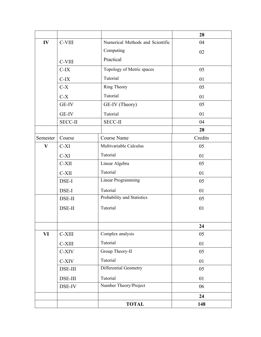|              |                |                                  | 28      |
|--------------|----------------|----------------------------------|---------|
| IV           | C-VIII         | Numerical Methods and Scientific | 04      |
|              |                | Computing                        | 02      |
|              | C-VIII         | Practical                        |         |
|              | $C-IX$         | Topology of Metric spaces        | 05      |
|              | $C-IX$         | Tutorial                         | 01      |
|              | $C-X$          | Ring Theory                      | 05      |
|              | $C-X$          | Tutorial                         | 01      |
|              | GE-IV          | GE-IV (Theory)                   | 05      |
|              | GE-IV          | Tutorial                         | 01      |
|              | <b>SECC-II</b> | <b>SECC-II</b>                   | 04      |
|              |                |                                  | 28      |
| Semester     | Course         | <b>Course Name</b>               | Credits |
| $\mathbf{V}$ | $C-XI$         | Multivariable Calculus           | 05      |
|              | $C-XI$         | Tutorial                         | 01      |
|              | $C-XII$        | Linear Algebra                   | 05      |
|              | C-XII          | Tutorial                         | 01      |
|              | DSE-I          | <b>Linear Programming</b>        | 05      |
|              | DSE-I          | Tutorial                         | 01      |
|              | DSE-II         | Probability and Statistics       | 05      |
|              | DSE-II         | Tutorial                         | 01      |
|              |                |                                  |         |
|              |                |                                  | 24      |
| VI           | C-XIII         | Complex analysis                 | 05      |
|              | $C-XIII$       | Tutorial                         | 01      |
|              | C-XIV          | Group Theory-II                  | 05      |
|              | C-XIV          | Tutorial                         | 01      |
|              | DSE-III        | Differential Geometry            | 05      |
|              | DSE-III        | Tutorial                         | 01      |
|              | DSE-IV         | Number Theory/Project            | 06      |
|              |                |                                  | 24      |
|              |                | <b>TOTAL</b>                     | 148     |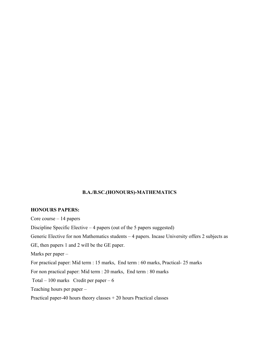### **B.A./B.SC.(HONOURS)-MATHEMATICS**

### **HONOURS PAPERS:**

Core course – 14 papers Discipline Specific Elective  $-4$  papers (out of the 5 papers suggested) Generic Elective for non Mathematics students – 4 papers. Incase University offers 2 subjects as GE, then papers 1 and 2 will be the GE paper. Marks per paper – For practical paper: Mid term : 15 marks, End term : 60 marks, Practical- 25 marks For non practical paper: Mid term : 20 marks, End term : 80 marks Total – 100 marks Credit per paper –  $6$ Teaching hours per paper – Practical paper-40 hours theory classes + 20 hours Practical classes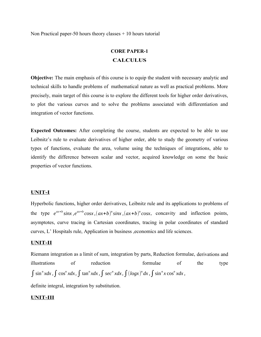Non Practical paper-50 hours theory classes + 10 hours tutorial

# **CORE PAPER-1 CALCULUS**

**Objective:** The main emphasis of this course is to equip the student with necessary analytic and technical skills to handle problems of mathematical nature as well as practical problems. More precisely, main target of this course is to explore the different tools for higher order derivatives, to plot the various curves and to solve the problems associated with differentiation and integration of vector functions.

**Expected Outcomes:** After completing the course, students are expected to be able to use Leibnitz's rule to evaluate derivatives of higher order, able to study the geometry of various types of functions, evaluate the area, volume using the techniques of integrations, able to identify the difference between scalar and vector, acquired knowledge on some the basic properties of vector functions.

### **UNIT-I**

Hyperbolic functions, higher order derivatives, Leibnitz rule and its applications to problems of the type  $e^{ax+b}\sin x$ ,  $e^{ax+b}\cos x$ ,  $(ax+b)^n\sin x$ ,  $(ax+b)^n\cos x$ , concavity and inflection points, asymptotes, curve tracing in Cartesian coordinates, tracing in polar coordinates of standard curves, L' Hospitals rule, Application in business ,economics and life sciences.

### **UNIT-II**

Riemann integration as a limit of sum, integration by parts, Reduction formulae, derivations and illustrations of reduction formulae of the type  $\int \sin^n x dx$ ,  $\int \cos^n x dx$ ,  $\int \tan^n x dx$ ,  $\int \sec^n x dx$ ,  $\int (\log x)^n dx$ ,  $\int \sin^n x \cos^n x dx$ ,

definite integral, integration by substitution.

### **UNIT-III**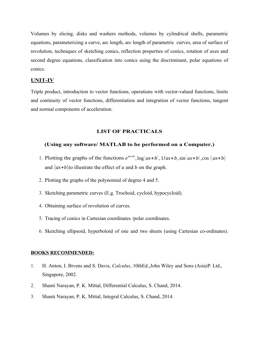Volumes by slicing, disks and washers methods, volumes by cylindrical shells, parametric equations, parameterizing a curve, arc length, arc length of parametric curves, area of surface of revolution, techniques of sketching conics, reflection properties of conics, rotation of axes and second degree equations, classification into conics using the discriminant, polar equations of conics.

### **UNIT-IV**

Triple product, introduction to vector functions, operations with vector-valued functions, limits and continuity of vector functions, differentiation and integration of vector functions, tangent and normal components of acceleration.

### **LIST OF PRACTICALS**

### **(Using any software/ MATLAB to be performed on a Computer.)**

- 1. Plotting the graphs of the functions  $e^{ax+b}$ ,  $\log(ax+b)$ ,  $1/ax+b$ ,  $\sin(ax+b)$ ,  $\cos(ax+b)$ and |*ax*+*b*|to illustrate the effect of *a* and *b* on the graph.
- 2. Plotting the graphs of the polynomial of degree 4 and 5.
- 3. Sketching parametric curves (E.g. Trochoid, cycloid, hypocycloid).
- 4. Obtaining surface of revolution of curves.
- 5. Tracing of conics in Cartesian coordinates /polar coordinates.
- 6. Sketching ellipsoid, hyperboloid of one and two sheets (using Cartesian co-ordinates).

### **BOOKS RECOMMENDED:**

- 1. H. Anton, I. Bivens and S. Davis, *Calculus*, 10thEd.,John Wiley and Sons (Asia)P. Ltd., Singapore, 2002.
- 2. Shanti Narayan, P. K. Mittal, Differential Calculus, S. Chand, 2014.
- 3. Shanti Narayan, P. K. Mittal, Integral Calculus, S. Chand, 2014.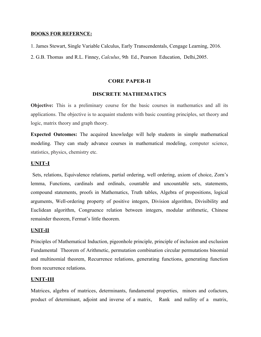### **BOOKS FOR REFERNCE:**

1. James Stewart, Single Variable Calculus, Early Transcendentals, Cengage Learning, 2016.

2. G.B. Thomas and R.L. Finney, *Calculus*, 9th Ed., Pearson Education, Delhi,2005.

### **CORE PAPER-II**

### **DISCRETE MATHEMATICS**

**Objective:** This is a preliminary course for the basic courses in mathematics and all its applications. The objective is to acquaint students with basic counting principles, set theory and logic, matrix theory and graph theory.

**Expected Outcomes:** The acquired knowledge will help students in simple mathematical modeling. They can study advance courses in mathematical modeling, computer science, statistics, physics, chemistry etc.

### **UNIT-I**

 Sets, relations, Equivalence relations, partial ordering, well ordering, axiom of choice, Zorn's lemma, Functions, cardinals and ordinals, countable and uncountable sets, statements, compound statements, proofs in Mathematics, Truth tables, Algebra of propositions, logical arguments, Well-ordering property of positive integers, Division algorithm, Divisibility and Euclidean algorithm, Congruence relation between integers, modular arithmetic, Chinese remainder theorem, Fermat's little theorem.

#### **UNIT-II**

Principles of Mathematical Induction, pigeonhole principle, principle of inclusion and exclusion Fundamental Theorem of Arithmetic, permutation combination circular permutations binomial and multinomial theorem, Recurrence relations, generating functions, generating function from recurrence relations.

### **UNIT-III**

Matrices, algebra of matrices, determinants, fundamental properties, minors and cofactors, product of determinant, adjoint and inverse of a matrix, Rank and nullity of a matrix,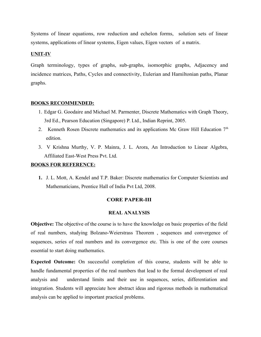Systems of linear equations, row reduction and echelon forms, solution sets of linear systems, applications of linear systems, Eigen values, Eigen vectors of a matrix.

### **UNIT-IV**

Graph terminology, types of graphs, sub-graphs, isomorphic graphs, Adjacency and incidence matrices, Paths, Cycles and connectivity, Eulerian and Hamiltonian paths, Planar graphs.

### **BOOKS RECOMMENDED:**

- 1. Edgar G. Goodaire and Michael M. Parmenter, Discrete Mathematics with Graph Theory, 3rd Ed., Pearson Education (Singapore) P. Ltd., Indian Reprint, 2005.
- 2. Kenneth Rosen Discrete mathematics and its applications Mc Graw Hill Education 7<sup>th</sup> edition.
- 3. V Krishna Murthy, V. P. Mainra, J. L. Arora, An Introduction to Linear Algebra, Affiliated East-West Press Pvt. Ltd.

### **BOOKS FOR REFERENCE:**

**1.** J. L. Mott, A. Kendel and T.P. Baker: Discrete mathematics for Computer Scientists and Mathematicians, Prentice Hall of India Pvt Ltd, 2008.

### **CORE PAPER-III**

### **REAL ANALYSIS**

**Objective:** The objective of the course is to have the knowledge on basic properties of the field of real numbers, studying Bolzano-Weierstrass Theorem , sequences and convergence of sequences, series of real numbers and its convergence etc. This is one of the core courses essential to start doing mathematics.

**Expected Outcome:** On successful completion of this course, students will be able to handle fundamental properties of the real numbers that lead to the formal development of real analysis and understand limits and their use in sequences, series, differentiation and integration. Students will appreciate how abstract ideas and rigorous methods in mathematical analysis can be applied to important practical problems.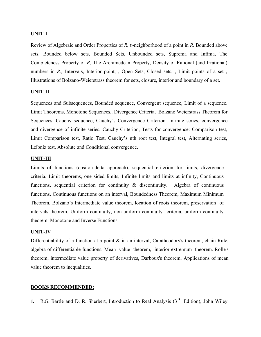### **UNIT-I**

Review of Algebraic and Order Properties of *R, ε*-neighborhood of a point in *R,* Bounded above sets, Bounded below sets, Bounded Sets, Unbounded sets, Suprema and Infima, The Completeness Property of *R,* The Archimedean Property, Density of Rational (and Irrational) numbers in *R.*, Intervals, Interior point, Open Sets, Closed sets, , Limit points of a set, Illustrations of Bolzano-Weierstrass theorem for sets, closure, interior and boundary of a set.

### **UNIT-II**

Sequences and Subsequences, Bounded sequence, Convergent sequence, Limit of a sequence. Limit Theorems, Monotone Sequences,. Divergence Criteria, Bolzano Weierstrass Theorem for Sequences, Cauchy sequence, Cauchy's Convergence Criterion. Infinite series, convergence and divergence of infinite series, Cauchy Criterion, Tests for convergence: Comparison test, Limit Comparison test, Ratio Test, Cauchy's nth root test, Integral test, Alternating series, Leibniz test, Absolute and Conditional convergence.

### **UNIT-III**

Limits of functions (epsilon-delta approach), sequential criterion for limits, divergence criteria. Limit theorems, one sided limits, Infinite limits and limits at infinity, Continuous functions, sequential criterion for continuity & discontinuity. Algebra of continuous functions, Continuous functions on an interval, Boundedness Theorem, Maximum Minimum Theorem, Bolzano's Intermediate value theorem, location of roots theorem, preservation of intervals theorem. Uniform continuity, non-uniform continuity criteria, uniform continuity theorem, Monotone and Inverse Functions.

### **UNIT-IV**

Differentiability of a function at a point  $\&$  in an interval, Caratheodory's theorem, chain Rule, algebra of differentiable functions, Mean value theorem, interior extremum theorem. Rolle's theorem, intermediate value property of derivatives, Darboux's theorem. Applications of mean value theorem to inequalities.

### **BOOKS RECOMMENDED:**

**1.** R.G. Bartle and D. R. Sherbert, Introduction to Real Analysis (3<sup>rd</sup> Edition), John Wiley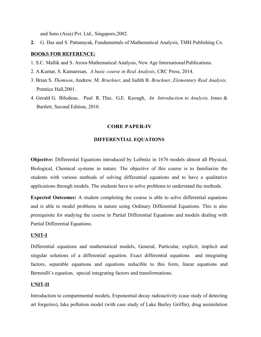and Sons (Asia) Pvt. Ltd., Singapore,2002.

**2.** G. Das and S. Pattanayak, Fundamentals of Mathematical Analysis, TMH Publishing Co.

### **BOOKS FOR REFERENCE:**

- 1. S.C. Mallik and S. Arora-Mathematical Analysis, New Age International Publications.
- 2. A.Kumar, S. Kumaresan, *A basic course in Real Analysis*, CRC Press, 2014.
- 3. Brian S. *Thomson*, Andrew. M. *Bruckner*, and Judith B. *Bruckner*, *Elementary Real Analysis,* Prentice Hall,2001.
- 4. Gerald G. Bilodeau, Paul R. Thie, G.E. Keough, *An Introduction to Analysis,* Jones & Bartlett, Second Edition, 2010.

### **CORE PAPER-IV**

### **DIFFERENTIAL EQUATIONS**

**Objective:** Differential Equations introduced by Leibnitz in 1676 models almost all Physical, Biological, Chemical systems in nature. The objective of this course is to familiarize the students with various methods of solving differential equations and to have a qualitative applications through models. The students have to solve problems to understand the methods.

**Expected Outcomes:** A student completing the course is able to solve differential equations and is able to model problems in nature using Ordinary Differential Equations. This is also prerequisite for studying the course in Partial Differential Equations and models dealing with Partial Differential Equations.

### **UNIT-I**

Differential equations and mathematical models, General, Particular, explicit, implicit and singular solutions of a differential equation. Exact differential equations and integrating factors, separable equations and equations reducible to this form, linear equations and Bernoulli's equation, special integrating factors and transformations.

#### **UNIT-II**

Introduction to compartmental models, Exponential decay radioactivity (case study of detecting art forgeries), lake pollution model (with case study of Lake Burley Griffin), drug assimilation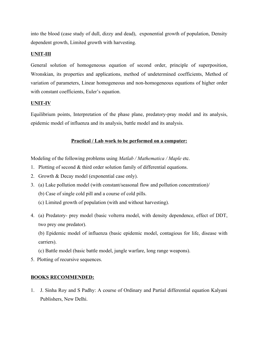into the blood (case study of dull, dizzy and dead), exponential growth of population, Density dependent growth, Limited growth with harvesting.

### **UNIT-III**

General solution of homogeneous equation of second order, principle of superposition, Wronskian, its properties and applications, method of undetermined coefficients, Method of variation of parameters, Linear homogeneous and non-homogeneous equations of higher order with constant coefficients, Euler's equation.

### **UNIT-IV**

Equilibrium points, Interpretation of the phase plane, predatory-pray model and its analysis, epidemic model of influenza and its analysis, battle model and its analysis.

### **Practical / Lab work to be performed on a computer:**

Modeling of the following problems using *Matlab / Mathematica / Maple* etc.

- 1. Plotting of second & third order solution family of differential equations.
- 2. Growth & Decay model (exponential case only).
- 3. (a) Lake pollution model (with constant/seasonal flow and pollution concentration)/
	- (b) Case of single cold pill and a course of cold pills.
	- (c) Limited growth of population (with and without harvesting).
- 4. (a) Predatory- prey model (basic volterra model, with density dependence, effect of DDT, two prey one predator).

(b) Epidemic model of influenza (basic epidemic model, contagious for life, disease with carriers).

- (c) Battle model (basic battle model, jungle warfare, long range weapons).
- 5. Plotting of recursive sequences.

### **BOOKS RECOMMENDED:**

1. J. Sinha Roy and S Padhy: A course of Ordinary and Partial differential equation Kalyani Publishers, New Delhi.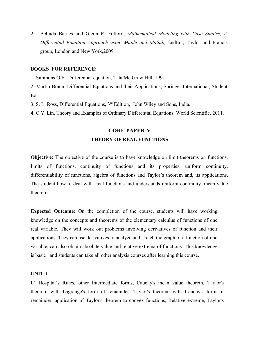2. Belinda Barnes and Glenn R. Fulford, *Mathematical Modeling with Case Studies, A Differential Equation Approach using Maple and Matlab,* 2ndEd., Taylor and Francis group, London and New York,2009.

### **BOOKS FOR REFERENCE:**

1. Simmons G F, Differential equation, Tata Mc Graw Hill, 1991.

2. Martin Braun, Differential Equations and their Applications, Springer International, Student Ed.

3. S. L. Ross, Differential Equations, 3rd Edition, John Wiley and Sons, India.

4. C.Y. Lin, Theory and Examples of Ordinary Differential Equations, World Scientific, 2011.

## **CORE PAPER-V THEORY OF REAL FUNCTIONS**

**Objective:** The objective of the course is to have knowledge on limit theorems on functions, limits of functions, continuity of functions and its properties, uniform continuity, differentiability of functions, algebra of functions and Taylor's theorem and, its applications. The student how to deal with real functions and understands uniform continuity, mean value theorems.

**Expected Outcome**: On the completion of the course, students will have working knowledge on the concepts and theorems of the elementary calculus of functions of one real variable. They will work out problems involving derivatives of function and their applications. They can use derivatives to analyze and sketch the graph of a function of one variable, can also obtain absolute value and relative extrema of functions. This knowledge is basic and students can take all other analysis courses after learning this course.

### **UNIT-I**

L' Hospital's Rules, other Intermediate forms, Cauchy's mean value theorem, Taylor's theorem with Lagrange's form of remainder, Taylor's theorem with Cauchy's form of remainder, application of Taylor's theorem to convex functions, Relative extreme, Taylor's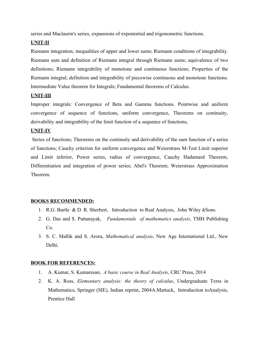series and Maclaurin's series, expansions of exponential and trigonometric functions.

### **UNIT-II**

Riemann integration; inequalities of upper and lower sums; Riemann conditions of integrability. Riemann sum and definition of Riemann integral through Riemann sums; equivalence of two definitions; Riemann integrability of monotone and continuous functions; Properties of the Riemann integral; definition and integrability of piecewise continuous and monotone functions. Intermediate Value theorem for Integrals; Fundamental theorems of Calculus.

### **UNIT-III**

Improper integrals: Convergence of Beta and Gamma functions. Pointwise and uniform convergence of sequence of functions, uniform convergence, Theorems on continuity, derivability and integrability of the limit function of a sequence of functions**.**

### **UNIT-IV**

 Series of functions; Theorems on the continuity and derivability of the sum function of a series of functions; Cauchy criterion for uniform convergence and Weierstrass M-Test Limit superior and Limit inferior, Power series, radius of convergence, Cauchy Hadamard Theorem, Differentiation and integration of power series; Abel's Theorem; Weierstrass Approximation Theorem.

### **BOOKS RECOMMENDED:**

- 1. R.G. Bartle & D. R. Sherbert, Introduction to Real Analysis, John Wiley &Sons.
- 2. G. Das and S. Pattanayak, *Fundamentals of mathematics analysis*, TMH Publishing  $Co<sub>1</sub>$
- 3. S. C. Mallik and S. Arora, *Mathematical analysis*, New Age International Ltd., New Delhi.

### **BOOK FOR REFERENCES:**

- 1. A. Kumar, S. Kumaresan, *A basic course in Real Analysis*, CRC Press, 2014
- 2. K. A. Ross, *Elementary analysis: the theory of calculus*, Undergraduate Texts in Mathematics, Springer (SIE), Indian reprint, 2004A.Mattuck, Introduction toAnalysis, Prentice Hall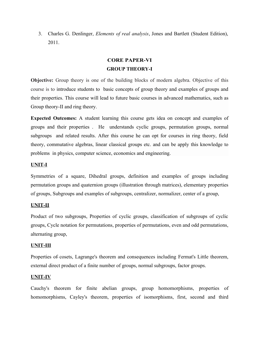3. Charles G. Denlinger, *Elements of real analysis*, Jones and Bartlett (Student Edition), 2011.

## **CORE PAPER-VI GROUP THEORY-I**

**Objective:** Group theory is one of the building blocks of modern algebra. Objective of this course is to introduce students to basic concepts of group theory and examples of groups and their properties. This course will lead to future basic courses in advanced mathematics, such as Group theory-II and ring theory.

**Expected Outcomes:** A student learning this course gets idea on concept and examples of groups and their properties . He understands cyclic groups, permutation groups, normal subgroups and related results. After this course he can opt for courses in ring theory, field theory, commutative algebras, linear classical groups etc. and can be apply this knowledge to problems in physics, computer science, economics and engineering.

### **UNIT-I**

Symmetries of a square, Dihedral groups, definition and examples of groups including permutation groups and quaternion groups (illustration through matrices), elementary properties of groups, Subgroups and examples of subgroups, centralizer, normalizer, center of a group,

### **UNIT-II**

Product of two subgroups, Properties of cyclic groups, classification of subgroups of cyclic groups, Cycle notation for permutations, properties of permutations, even and odd permutations, alternating group,

### **UNIT-III**

Properties of cosets, Lagrange's theorem and consequences including Fermat's Little theorem, external direct product of a finite number of groups, normal subgroups, factor groups.

### **UNIT-IV**

Cauchy's theorem for finite abelian groups, group homomorphisms, properties of homomorphisms, Cayley's theorem, properties of isomorphisms, first, second and third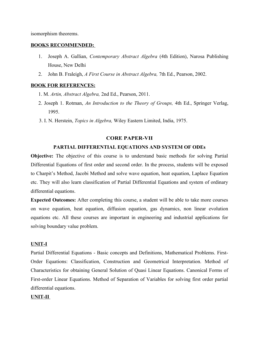isomorphism theorems.

### **BOOKS RECOMMENDED:**

- 1. Joseph A. Gallian, *Contemporary Abstract Algebra* (4th Edition), Narosa Publishing House, New Delhi
- 2. John B. Fraleigh, *A First Course in Abstract Algebra,* 7th Ed., Pearson, 2002.

### **BOOK FOR REFERENCES:**

- 1. M. *Artin, Abstract Algebra,* 2nd Ed., Pearson, 2011.
- 2. Joseph 1. Rotman, *An Introduction to the Theory of Groups,* 4th Ed., Springer Verlag, 1995.
- 3. I. N. Herstein, *Topics in Algebra,* Wiley Eastern Limited, India, 1975.

### **CORE PAPER-VII**

### **PARTIAL DIFFERENTIAL EQUATIONS AND SYSTEM OF ODEs**

**Objective:** The objective of this course is to understand basic methods for solving Partial Differential Equations of first order and second order. In the process, students will be exposed to Charpit's Method, Jacobi Method and solve wave equation, heat equation, Laplace Equation etc. They will also learn classification of Partial Differential Equations and system of ordinary differential equations.

**Expected Outcomes:** After completing this course, a student will be able to take more courses on wave equation, heat equation, diffusion equation, gas dynamics, non linear evolution equations etc. All these courses are important in engineering and industrial applications for solving boundary value problem.

### **UNIT-I**

Partial Differential Equations - Basic concepts and Definitions, Mathematical Problems. First-Order Equations: Classification, Construction and Geometrical Interpretation. Method of Characteristics for obtaining General Solution of Quasi Linear Equations. Canonical Forms of First-order Linear Equations. Method of Separation of Variables for solving first order partial differential equations.

### **UNIT-II**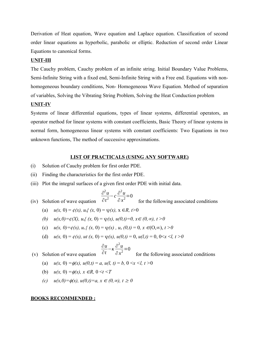Derivation of Heat equation, Wave equation and Laplace equation. Classification of second order linear equations as hyperbolic, parabolic or elliptic. Reduction of second order Linear Equations to canonical forms.

### **UNIT-III**

The Cauchy problem, Cauchy problem of an infinite string. Initial Boundary Value Problems, Semi-Infinite String with a fixed end, Semi-Infinite String with a Free end. Equations with nonhomogeneous boundary conditions, Non- Homogeneous Wave Equation. Method of separation of variables, Solving the Vibrating String Problem, Solving the Heat Conduction problem

### **UNIT-IV**

Systems of linear differential equations, types of linear systems, differential operators, an operator method for linear systems with constant coefficients, Basic Theory of linear systems in normal form, homogeneous linear systems with constant coefficients: Two Equations in two unknown functions, The method of successive approximations.

### **LIST OF PRACTICALS (USING ANY SOFTWARE)**

- (i) Solution of Cauchy problem for first order PDE.
- (ii) Finding the characteristics for the first order PDE.
- (iii) Plot the integral surfaces of a given first order PDE with initial data.

$$
\frac{\partial^2 u}{\partial t^2} - c \frac{\partial^2 u}{\partial y^2} = 0
$$

- (iv) Solution of wave equation ∂*t* ∂ *x* for the following associated conditions
	- (a)  $u(x, 0) = \phi(x), u_t(x)$  (x, 0) =  $\psi(x), x \in R, t > 0$
	- *(b)*  $u(x, 0) = \phi(X), u_0(x, 0) = \psi(x), u(0,t) = 0, x \in (0, \infty), t > 0$
	- (c)  $u(x, 0) = \phi(x), u_t$  {  $(x, 0) = \psi(x), u_x$   $(0,t) = 0, x \in (0,\infty), t > 0$
	- (d)  $u(x, 0) = \phi(x)$ ,  $ut(x, 0) = \psi(x)$ ,  $u(0,t) = 0$ ,  $u(l,t) = 0$ ,  $0 \le x \le l$ ,  $t > 0$

$$
\frac{\partial u}{\partial t} - \kappa \frac{\partial^2 u}{\partial x^2} = 0
$$

 (v) Solution of wave equation ∂*t* ∂ *x* for the following associated conditions

- (a)  $u(x, 0) = \phi(x)$ ,  $u(0,t) = a$ ,  $u(l, t) = b$ ,  $0 \le x \le l$ ,  $t > 0$
- (b)  $u(x, 0) = \phi(x), x \in R, 0 \le t \le T$
- *(c)*  $u(x, 0) = \phi(x), u(0,t) = a, x \in (0, \infty), t \ge 0$

#### **BOOKS RECOMMENDED :**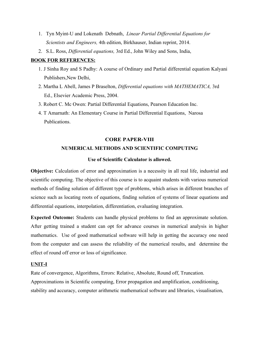- 1. Tyn Myint-U and Lokenath Debnath, *Linear Partial Differential Equations for Scientists and Engineers,* 4th edition, Birkhauser, Indian reprint, 2014.
- 2. S.L. Ross, *Differential equations,* 3rd Ed., John Wiley and Sons, India,

### **BOOK FOR REFERENCES:**

- 1. J Sinha Roy and S Padhy: A course of Ordinary and Partial differential equation Kalyani Publishers,New Delhi,
- 2. Martha L Abell, James P Braselton, *Differential equations with MATHEMATICA,* 3rd Ed., Elsevier Academic Press, 2004.
- 3. Robert C. Mc Owen: Partial Differential Equations, Pearson Education Inc.
- 4. T Amarnath: An Elementary Course in Partial Differential Equations, Narosa Publications.

# **CORE PAPER-VIII NUMERICAL METHODS AND SCIENTIFIC COMPUTING**

### **Use of Scientific Calculator is allowed.**

**Objective:** Calculation of error and approximation is a necessity in all real life, industrial and scientific computing. The objective of this course is to acquaint students with various numerical methods of finding solution of different type of problems, which arises in different branches of science such as locating roots of equations, finding solution of systems of linear equations and differential equations, interpolation, differentiation, evaluating integration.

**Expected Outcome:** Students can handle physical problems to find an approximate solution. After getting trained a student can opt for advance courses in numerical analysis in higher mathematics. Use of good mathematical software will help in getting the accuracy one need from the computer and can assess the reliability of the numerical results, and determine the effect of round off error or loss of significance.

### **UNIT-I**

Rate of convergence, Algorithms, Errors: Relative, Absolute, Round off, Truncation. Approximations in Scientific computing, Error propagation and amplification, conditioning, stability and accuracy, computer arithmetic mathematical software and libraries, visualisation,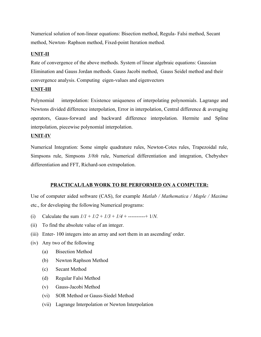Numerical solution of non-linear equations: Bisection method, Regula- Falsi method, Secant method, Newton- Raphson method, Fixed-point Iteration method.

### **UNIT-II**

Rate of convergence of the above methods. System of linear algebraic equations: Gaussian Elimination and Gauss Jordan methods. Gauss Jacobi method, Gauss Seidel method and their convergence analysis. Computing eigen-values and eigenvectors

### **UNIT-III**

Polynomial interpolation: Existence uniqueness of interpolating polynomials. Lagrange and Newtons divided difference interpolation, Error in interpolation, Central difference & averaging operators, Gauss-forward and backward difference interpolation. Hermite and Spline interpolation, piecewise polynomial interpolation.

### **UNIT-IV**

Numerical Integration: Some simple quadrature rules, Newton-Cotes rules, Trapezoidal rule, Simpsons rule, Simpsons *3/8th* rule, Numerical differentiation and integration, Chebyshev differentiation and FFT, Richard-son extrapolation.

### **PRACTICAL/LAB WORK TO BE PERFORMED ON A COMPUTER:**

Use of computer aided software (CAS), for example *Matlab / Mathematica / Maple / Maxima* etc., for developing the following Numerical programs:

- (i) Calculate the sum  $1/l + 1/2 + 1/3 + 1/4 +$  ----------+  $1/N$ .
- (ii) To find the absolute value of an integer.
- (iii) Enter- 100 integers into an array and sort them in an ascending' order.
- (iv) Any two of the following
	- (a) Bisection Method
	- (b) Newton Raphson Method
	- (c) Secant Method
	- (d) Regular Falsi Method
	- (v) Gauss-Jacobi Method
	- (vi) SOR Method or Gauss-Siedel Method
	- (vii) Lagrange Interpolation or Newton Interpolation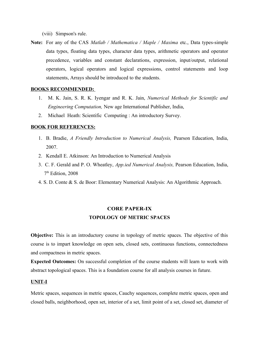(viii) Simpson's rule.

**Note:** For any of the CAS *Matlab / Mathematica / Maple / Maxima* etc., Data types-simple data types, floating data types, character data types, arithmetic operators and operator precedence, variables and constant declarations, expression, input/output, relational operators, logical operators and logical expressions, control statements and loop statements, Arrays should be introduced to the students.

### **BOOKS RECOMMENDED:**

- 1. M. K. Jain, S. R. K. Iyengar and R. K. Jain, *Numerical Methods for Scientific and Engineering Computation,* New age International Publisher, India,
- 2. Michael Heath: Scientific Computing : An introductory Survey.

### **BOOK FOR REFERENCES:**

- 1. B. Bradie, *A Friendly Introduction to Numerical Analysis,* Pearson Education, India, 2007.
- 2. Kendall E. Atkinson: An Introduction to Numerical Analysis
- 3. C. F. Gerald and P. O. Wheatley, *App.ied Numerical Analysis,* Pearson Education, India, 7 th Edition, 2008
- 4. S. D. Conte & S. de Boor: Elementary Numerical Analysis: An Algorithmic Approach.

## **CORE PAPER-IX TOPOLOGY OF METRIC SPACES**

**Objective:** This is an introductory course in topology of metric spaces. The objective of this course is to impart knowledge on open sets, closed sets, continuous functions, connectedness and compactness in metric spaces.

**Expected Outcomes:** On successful completion of the course students will learn to work with abstract topological spaces. This is a foundation course for all analysis courses in future.

### **UNIT-I**

Metric spaces, sequences in metric spaces, Cauchy sequences, complete metric spaces, open and closed balls, neighborhood, open set, interior of a set, limit point of a set, closed set, diameter of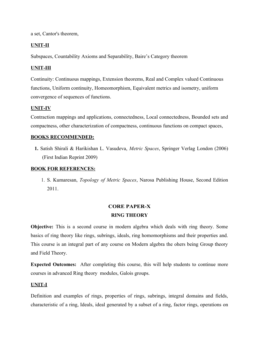a set, Cantor's theorem,

### **UNIT-II**

Subspaces, Countability Axioms and Separability, Baire's Category theorem

### **UNIT-III**

Continuity: Continuous mappings, Extension theorems, Real and Complex valued Continuous functions, Uniform continuity, Homeomorphism, Equivalent metrics and isometry, uniform convergence of sequences of functions.

### **UNIT-IV**

Contraction mappings and applications, connectedness, Local connectedness, Bounded sets and compactness, other characterization of compactness, continuous functions on compact spaces,

### **BOOKS RECOMMENDED:**

**1.** Satish Shirali & Harikishan L. Vasudeva, *Metric Spaces*, Springer Verlag London (2006) (First Indian Reprint 2009)

### **BOOK FOR REFERENCES:**

1. S. Kumaresan, *Topology of Metric Spaces*, Narosa Publishing House, Second Edition 2011.

# **CORE PAPER-X RING THEORY**

**Objective:** This is a second course in modern algebra which deals with ring theory. Some basics of ring theory like rings, subrings, ideals, ring homomorphisms and their properties and. This course is an integral part of any course on Modern algebra the ohers being Group theory and Field Theory.

**Expected Outcomes:** After completing this course, this will help students to continue more courses in advanced Ring theory modules, Galois groups.

### **UNIT-I**

Definition and examples of rings, properties of rings, subrings, integral domains and fields, characteristic of a ring, Ideals, ideal generated by a subset of a ring, factor rings, operations on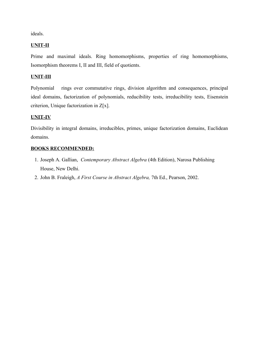ideals.

### **UNIT-II**

Prime and maximal ideals. Ring homomorphisms, properties of ring homomorphisms, Isomorphism theorems I, II and III, field of quotients.

### **UNIT-III**

Polynomial rings over commutative rings, division algorithm and consequences, principal ideal domains, factorization of polynomials, reducibility tests, irreducibility tests, Eisenstein criterion, Unique factorization in Z[x].

### **UNIT-IV**

Divisibility in integral domains, irreducibles, primes, unique factorization domains, Euclidean domains.

### **BOOKS RECOMMENDED:**

- 1. Joseph A. Gallian, *Contemporary Abstract Algebra* (4th Edition), Narosa Publishing House, New Delhi.
- 2. John B. Fraleigh, *A First Course in Abstract Algebra,* 7th Ed., Pearson, 2002.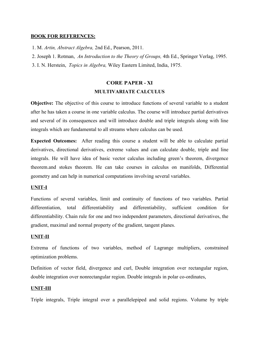### **BOOK FOR REFERENCES:**

1. M. *Artin, Abstract Algebra,* 2nd Ed., Pearson, 2011.

2. Joseph 1. Rotman, *An Introduction to the Theory of Groups,* 4th Ed., Springer Verlag, 1995.

3. I. N. Herstein, *Topics in Algebra,* Wiley Eastern Limited, India, 1975.

## **CORE PAPER - XI MULTIVARIATE CALCULUS**

**Objective:** The objective of this course to introduce functions of several variable to a student after he has taken a course in one variable calculus. The course will introduce partial derivatives and several of its consequences and will introduce double and triple integrals along with line integrals which are fundamental to all streams where calculus can be used.

**Expected Outcomes:** After reading this course a student will be able to calculate partial derivatives, directional derivatives, extreme values and can calculate double, triple and line integrals. He will have idea of basic vector calculus including green's theorem, divergence theorem.and stokes theorem. He can take courses in calculus on manifolds, Differential geometry and can help in numerical computations involving several variables.

### **UNIT-I**

Functions of several variables, limit and continuity of functions of two variables. Partial differentiation, total differentiability and differentiability, sufficient condition for differentiability. Chain rule for one and two independent parameters, directional derivatives, the gradient, maximal and normal property of the gradient, tangent planes.

### **UNIT-II**

Extrema of functions of two variables, method of Lagrange multipliers, constrained optimization problems.

Definition of vector field, divergence and curl, Double integration over rectangular region, double integration over nonrectangular region. Double integrals in polar co-ordinates,

### **UNIT-III**

Triple integrals, Triple integral over a parallelepiped and solid regions. Volume by triple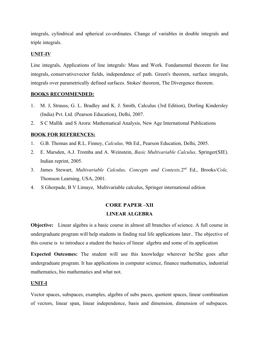integrals, cylindrical and spherical co-ordinates. Change of variables in double integrals and triple integrals.

### **UNIT-IV**

Line integrals, Applications of line integrals: Mass and Work. Fundamental theorem for line integrals, conservativevector fields, independence of path. Green's theorem, surface integrals, integrals over parametrically defined surfaces. Stokes' theorem, The Divergence theorem.

### **BOOKS RECOMMENDED:**

- 1. M. J, Strauss, G. L. Bradley and K. J. Smith, Calculus (3rd Edition), Dorling Kindersley (India) Pvt. Ltd. (Pearson Education), Delhi, 2007.
- 2. S C Mallik and S Arora: Mathematical Analysis, New Age International Publications

### **BOOK FOR REFERENCES:**

- 1. G.B. Thomas and R.L. Finney, *Calculus,* 9th Ed., Pearson Education, Delhi, 2005.
- 2. E. Marsden, A.J. Tromba and A. Weinstein, *Basic Multivariable Calculus,* Springer(SIE). Indian reprint, 2005.
- 3. James Stewart, *Multivariable Calculus, Concepts and Contexts,*2 nd Ed., Brooks/*Cole,* Thomson Learning, USA, 2001.
- 4. S Ghorpade, B V Limaye, Multivariable calculus, Springer international edition

### **CORE PAPER –XII LINEAR ALGEBRA**

**Objective:** Linear algebra is a basic course in almost all branches of science. A full course in undergraduate program will help students in finding real life applications later.. The objective of this course is to introduce a student the basics of linear algebra and some of its application

**Expected Outcomes:** The student will use this knowledge wherever he/She goes after undergraduate program. It has applications in computer science, finance mathematics, industrial mathematics, bio mathematics and what not.

### **UNIT-I**

Vector spaces, subspaces, examples, algebra of subs paces, quotient spaces, linear combination of vectors, linear span, linear independence, basis and dimension, dimension of subspaces.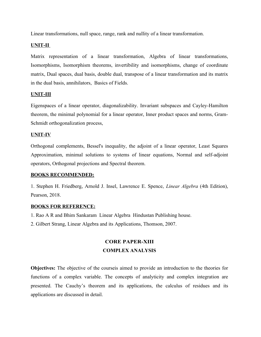Linear transformations, null space, range, rank and nullity of a linear transformation.

### **UNIT-II**

Matrix representation of a linear transformation, Algebra of linear transformations, Isomorphisms, Isomorphism theorems, invertibility and isomorphisms, change of coordinate matrix, Dual spaces, dual basis, double dual, transpose of a linear transformation and its matrix in the dual basis, annihilators, Basics of Fields.

### **UNIT-III**

Eigenspaces of a linear operator, diagonalizability. Invariant subspaces and Cayley-Hamilton theorem, the minimal polynomial for a linear operator, Inner product spaces and norms, Gram-Schmidt orthogonalization process,

### **UNIT-IV**

Orthogonal complements, Bessel's inequality, the adjoint of a linear operator, Least Squares Approximation, minimal solutions to systems of linear equations, Normal and self-adjoint operators, Orthogonal projections and Spectral theorem.

### **BOOKS RECOMMENDED:**

1. Stephen H. Friedberg, Arnold J. Insel, Lawrence E. Spence, *Linear Algebra* (4th Edition), Pearson, 2018.

### **BOOKS FOR REFERENCE:**

- 1. Rao A R and Bhim Sankaram Linear Algebra Hindustan Publishing house.
- 2. Gilbert Strang, Linear Algebra and its Applications, Thomson, 2007.

# **CORE PAPER-XIII COMPLEX ANALYSIS**

**Objectives:** The objective of the courseis aimed to provide an introduction to the theories for functions of a complex variable. The concepts of analyticity and complex integration are presented. The Cauchy's theorem and its applications, the calculus of residues and its applications are discussed in detail.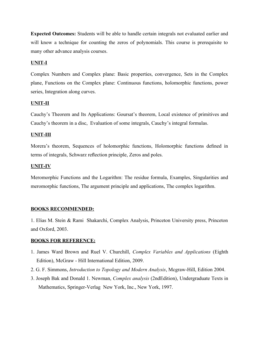**Expected Outcomes:** Students will be able to handle certain integrals not evaluated earlier and will know a technique for counting the zeros of polynomials. This course is prerequisite to many other advance analysis courses.

### **UNIT-I**

Complex Numbers and Complex plane: Basic properties, convergence, Sets in the Complex plane, Functions on the Complex plane: Continuous functions, holomorphic functions, power series, Integration along curves.

### **UNIT-II**

Cauchy's Theorem and Its Applications: Goursat's theorem, Local existence of primitives and Cauchy's theorem in a disc, Evaluation of some integrals, Cauchy's integral formulas.

### **UNIT-III**

Morera's theorem, Sequences of holomorphic functions, Holomorphic functions defined in terms of integrals, Schwarz reflection principle, Zeros and poles.

### **UNIT-IV**

Meromorphic Functions and the Logarithm: The residue formula, Examples, Singularities and meromorphic functions, The argument principle and applications, The complex logarithm.

### **BOOKS RECOMMENDED:**

1. Elias M. Stein & Rami Shakarchi, Complex Analysis, Princeton University press, Princeton and Oxford, 2003.

### **BOOKS FOR REFERENCE:**

- 1. James Ward Brown and Ruel V. Churchill, *Complex Variables and Applications* (Eighth Edition), McGraw - Hill International Edition, 2009.
- 2. G. F. Simmons, *Introduction to Topology and Modern Analysis*, Mcgraw-Hill, Edition 2004.
- 3. Joseph Bak and Donald 1. Newman, *Complex analysis* (2ndEdition), Undergraduate Texts in Mathematics, Springer-Verlag New York, Inc., New York, 1997.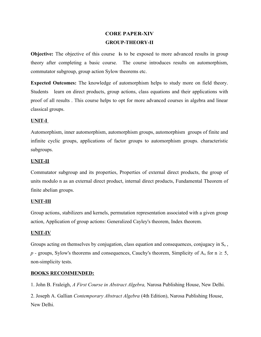# **CORE PAPER-XIV GROUP-THEORY-II**

**Objective:** The objective of this course is to be exposed to more advanced results in group theory after completing a basic course. The course introduces results on automorphism, commutator subgroup, group action Sylow theorems etc.

**Expected Outcomes:** The knowledge of automorphism helps to study more on field theory. Students learn on direct products, group actions, class equations and their applications with proof of all results . This course helps to opt for more advanced courses in algebra and linear classical groups.

### **UNIT-I**

Automorphism, inner automorphism, automorphism groups, automorphism groups of finite and infinite cyclic groups, applications of factor groups to automorphism groups. characteristic subgroups.

### **UNIT-II**

Commutator subgroup and its properties, Properties of external direct products, the group of units modulo n as an external direct product, internal direct products, Fundamental Theorem of finite abelian groups.

### **UNIT-III**

Group actions, stabilizers and kernels, permutation representation associated with a given group action, Application of group actions: Generalized Cayley's theorem, Index theorem.

### **UNIT-IV**

Groups acting on themselves by conjugation, class equation and consequences, conjugacy in  $S_n$ ,  $p$  - groups, Sylow's theorems and consequences, Cauchy's theorem, Simplicity of  $A_n$  for  $n \geq 5$ , non-simplicity tests.

### **BOOKS RECOMMENDED:**

1. John B. Fraleigh, *A First Course in Abstract Algebra,* Narosa Publishing House, New Delhi.

2. Joseph A. Gallian *Contemporary Abstract Algebra* (4th Edition), Narosa Publishing House, New Delhi.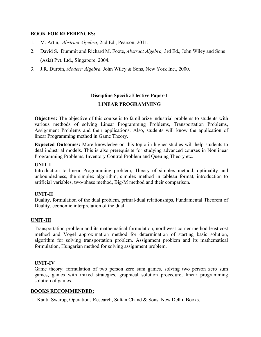### **BOOK FOR REFERENCES:**

- 1. M. Artin, *Abstract Algebra,* 2nd Ed., Pearson, 2011.
- 2. David S. Dummit and Richard M. Foote, *Abstract Algebra,* 3rd Ed., John Wiley and Sons (Asia) Pvt. Ltd., Singapore, 2004.
- 3. J.R. Durbin, *Modern Algebra,* John Wiley & Sons, New York Inc., 2000.

## **Discipline Specific Elective Paper-1**

### **LINEAR PROGRAMMING**

**Objective:** The objective of this course is to familiarize industrial problems to students with various methods of solving Linear Programming Problems, Transportation Problems, Assignment Problems and their applications. Also, students will know the application of linear Programming method in Game Theory.

 **Expected Outcomes:** More knowledge on this topic in higher studies will help students to deal industrial models. This is also prerequisite for studying advanced courses in Nonlinear Programming Problems, Inventory Control Problem and Queuing Theory etc.

### **UNIT-I**

Introduction to linear Programming problem, Theory of simplex method, optimality and unboundedness, the simplex algorithm, simplex method in tableau format, introduction to artificial variables, two-phase method, Big-M method and their comparison.

### **UNIT-II**

Duality, formulation of the dual problem, primal-dual relationships, Fundamental Theorem of Duality, economic interpretation of the dual.

### **UNIT-III**

Transportation problem and its mathematical formulation, northwest-corner method least cost method and Vogel approximation method for determination of starting basic solution, algorithm for solving transportation problem. Assignment problem and its mathematical formulation, Hungarian method for solving assignment problem.

### **UNIT-IV**

Game theory: formulation of two person zero sum games, solving two person zero sum games, games with mixed strategies, graphical solution procedure, linear programming solution of games.

### **BOOKS RECOMMENDED :**

1. Kanti Swarup, Operations Research, Sultan Chand & Sons, New Delhi. Books.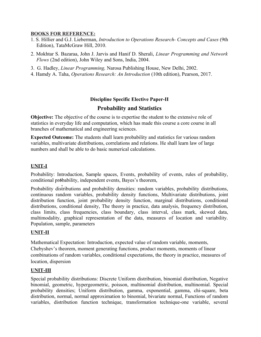### **BOOKS FOR REFERENCE:**

- 1. S. Hillier and G.J. Lieberman, *Introduction to Operations Research- Concepts and Cases* (9th Edition), TataMcGraw Hill, 2010.
- 2. Mokhtar S. Bazaraa, John J. Jarvis and Hanif D. Sherali, *Linear Programming and Network Flows* (2nd edition), John Wiley and Sons, India, 2004.
- 3. G. Hadley, *Linear Programming,* Narosa Publishing House, New Delhi, 2002.
- 4. Hamdy A. Taha, *Operations Research: An Introduction* (10th edition), Pearson, 2017.

### **Discipline Specific Elective Paper-II**

### **Probability and Statistics**

**Objective:** The objective of the course is to expertise the student to the extensive role of statistics in everyday life and computation, which has made this course a core course in all branches of mathematical and engineering sciences.

**Expected Outcome:** The students shall learn probability and statistics for various random variables, multivariate distributions, correlations and relations. He shall learn law of large numbers and shall be able to do basic numerical calculations.

### **UNIT-I**

'. conditional probability, independent events, Bayes's theorem, Probability: Introduction, Sample spaces, Events, probability of events, rules of probability,

Probability distributions and probability densities: random variables, probability distributions, continuous random variables, probability density functions, Multivariate distributions, joint distribution function, joint probability density function, marginal distributions, conditional distributions, conditional density, The theory in practice, data analysis, frequency distribution, class limits, class frequencies, class boundary, class interval, class mark, skewed data, multimodality, graphical representation of the data, measures of location and variability. Population, sample, parameters

### **UNIT-II**

Mathematical Expectation: Introduction, expected value of random variable, moments, Chebyshev's theorem, moment generating functions, product moments, moments of linear combinations of random variables, conditional expectations, the theory in practice, measures of location, dispersion

### **UNIT-III**

Special probability distributions: Discrete Uniform distribution, binomial distribution, Negative binomial, geometric, hypergeometric, poisson, multinomial distribution, multinomial. Special probability densities; Uniform distribution, gamma, exponential, gamma, chi-square, beta distribution, normal, normal approximation to binomial, bivariate normal, Functions of random variables, distribution function technique, transformation technique-one variable, several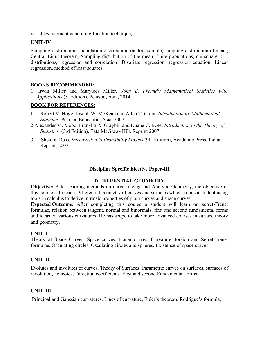variables, moment generating function technique,

### **UNIT-IV**

Sampling distributions: population distribution, random sample, sampling distribution of mean, Central Limit theorem, Sampling distribution of the mean: finite populations, chi-square, t, F distributions, regression and correlation: Bivariate regression, regression equation, Linear regression, method of least squares.

### **BOOKS RECOMMENDED:**

1. Irwin Miller and Marylees Miller, *John E. Freund's Mathematical Statistics with Applications* (8thEdition), Pearson, Asia, 2014.

### **BOOK FOR REFERENCES:**

- l. Robert V. Hogg, Joseph W. McKean and Allen T. Craig, *Introduction to Mathematical Statistics,* Pearson Education, Asia, 2007.
- 2.Alexander M. Mood, Franklin A. Graybill and Duane C. Boes, *Introduction to the Theory of Statistics,* (3rd Edition), Tata McGraw- Hill, Reprint 2007.
- 3. Sheldon Ross, *Introduction to Probability Models* (9th Edition), Academic Press, Indian Reprint, 2007.

### **Discipline Specific Elective Paper-III**

### **DIFFERENTIAL GEOMETRY**

**Objective:** After learning methods on curve tracing and Analytic Geometry, the objective of this course is to teach Differential geometry of curves and surfaces which trains a student using tools in calculus to derive intrinsic properties of plain curves and space curves.

**Expected Outcome:** After completing this course a student will learn on serret-Frenet formulae, relation between tangent, normal and binormals, first and second fundamental forms and ideas on various curvatures. He has scope to take more advanced courses in surface theory and geometry.

### **UNIT-I**

Theory of Space Curves: Space curves, Planer curves, Curvature, torsion and Serret-Frenet formulae. Osculating circles, Osculating circles and spheres. Existence of space curves.

### **UNIT-II**

Evolutes and involutes of curves. Theory of Surfaces: Parametric curves on surfaces, surfaces of revolution, helicoids, Direction coefficients. First and second Fundamental forms.

### **UNIT-III**

Principal and Gaussian curvatures. Lines of curvature, Euler's theorem. Rodrigue's formula,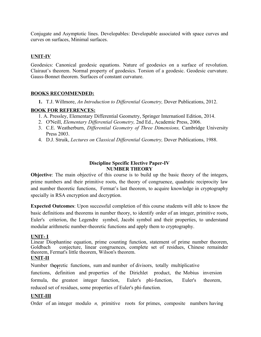Conjugate and Asymptotic lines. Developables: Developable associated with space curves and curves on surfaces, Minimal surfaces.

### **UNIT-IV**

Geodesics: Canonical geodesic equations. Nature of geodesics on a surface of revolution. Clairaut's theorem. Normal property of geodesics. Torsion of a geodesic. Geodesic curvature. Gauss-Bonnet theorem. Surfaces of constant curvature.

### **BOOKS RECOMMENDED:**

**1.** T.J. Willmore, *An Introduction to Differential Geometry,* Dover Publications, 2012.

### **BOOK FOR REFERENCES:**

- 1. A. Pressley, Elementary Differential Geometry, Springer Internationl Edition, 2014.
- 2. O'Neill, *Elementary Differential Geometry,* 2nd Ed., Academic Press, 2006.
- 3. C.E. Weatherburn, *Differential Geometry of Three Dimensions,* Cambridge University Press 2003.
- 4. D.J. Struik, *Lectures on Classical Differential Geometry,* Dover Publications, 1988.

### **Discipline Specific Elective Paper-IV NUMBER THEORY**

**Objective**: The main objective of this course is to build up the basic theory of the integers, prime numbers and their primitive roots, the theory of congruence, quadratic reciprocity law and number theoretic functions, Fermat's last theorem, to acquire knowledge in cryptography specially in RSA encryption and decryption.

**Expected Outcomes**: Upon successful completion of this course students will able to know the basic definitions and theorems in number theory, to identify order of an integer, primitive roots, Euler's criterion, the Legendre symbol, Jacobi symbol and their properties, to understand modular arithmetic number-theoretic functions and apply them to cryptography.

### **UNIT- I**

Linear Diophantine equation, prime counting function, statement of prime number theorem, Goldbach conjecture, linear congruences, complete set of residues, Chinese remainder theorem, Fermat's little theorem, Wilson's theorem.

### **UNIT-II**

Number theoretic functions, sum and number of divisors, totally multiplicative

functions, definition and properties of the Dirichlet product, the Mobius inversion formula, the greatest integer function, Euler's phi-function, Euler's theorem, reduced set of residues, some properties of Euler's phi-function.

### **UNIT-III**

Order of an integer modulo *n,* primitive roots for primes, composite numbers having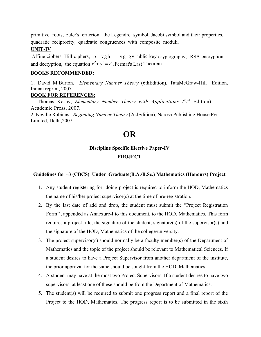primitive roots, Euler's criterion, the Legendre symbol, Jacobi symbol and their properties, quadratic reciprocity, quadratic congruences with composite moduli.

### **UNIT-IV**

Affine ciphers, Hill ciphers, p vgh vg gv ublic key cryptography, RSA encryption and decryption, the equation  $x^2 + y^2 = z^2$ , Fermat's Last Theorem.

### **BOOKS RECOMMENDED:**

1. David M.Burton, *Elementary Number Theory* (6thEdition), TataMcGraw-Hill Edition, Indian reprint, 2007.

### **BOOK FOR REFERENCES:**

1. Thomas Koshy, *Elementary Number Theory with Applications (2nd Edition)*, Academic Press, 2007.

2. Neville Robinns, *Beginning Number Theory* (2ndEdition), Narosa Publishing House Pvt. Limited, Delhi,2007.

# **OR**

### **Discipline Specific Elective Paper-IV**

### **PROJECT**

### **Guidelines for +3 (CBCS) Under Graduate(B.A./B.Sc.) Mathematics (Honours) Project**

- 1. Any student registering for doing project is required to inform the HOD, Mathematics the name of his/her project supervisor(s) at the time of pre-registration.
- 2. By the last date of add and drop, the student must submit the "Project Registration Form'', appended as Annexure-I to this document, to the HOD, Mathematics. This form requires a project title, the signature of the student, signature(s) of the supervisor(s) and the signature of the HOD, Mathematics of the college/university.
- 3. The project supervisor(s) should normally be a faculty member(s) of the Department of Mathematics and the topic of the project should be relevant to Mathematical Sciences. If a student desires to have a Project Supervisor from another department of the institute, the prior approval for the same should be sought from the HOD, Mathematics.
- 4. A student may have at the most two Project Supervisors. If a student desires to have two supervisors, at least one of these should be from the Department of Mathematics.
- 5. The student(s) will be required to submit one progress report and a final report of the Project to the HOD, Mathematics. The progress report is to be submitted in the sixth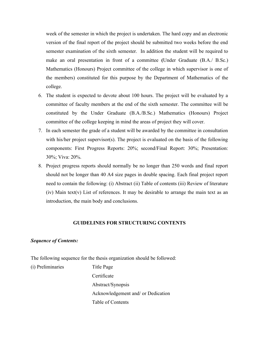week of the semester in which the project is undertaken. The hard copy and an electronic version of the final report of the project should be submitted two weeks before the end semester examination of the sixth semester. In addition the student will be required to make an oral presentation in front of a committee **(**Under Graduate (B.A./ B.Sc.) Mathematics (Honours) Project committee of the college in which supervisor is one of the members) constituted for this purpose by the Department of Mathematics of the college.

- 6. The student is expected to devote about 100 hours. The project will be evaluated by a committee of faculty members at the end of the sixth semester. The committee will be constituted by the Under Graduate (B.A./B.Sc.) Mathematics (Honours) Project committee of the college keeping in mind the areas of project they will cover.
- 7. In each semester the grade of a student will be awarded by the committee in consultation with his/her project supervisor(s). The project is evaluated on the basis of the following components: First Progress Reports: 20%; second/Final Report: 30%; Presentation: 30%; Viva: 20%.
- 8. Project progress reports should normally be no longer than 250 words and final report should not be longer than 40 A4 size pages in double spacing. Each final project report need to contain the following: (i) Abstract (ii) Table of contents (iii) Review of literature (iv) Main text(v) List of references. It may be desirable to arrange the main text as an introduction, the main body and conclusions.

### **GUIDELINES FOR STRUCTURING CONTENTS**

### *Sequence of Contents:*

The following sequence for the thesis organization should be followed:

(i) Preliminaries Title Page

Certificate Abstract/Synopsis Acknowledgement and/ or Dedication Table of Contents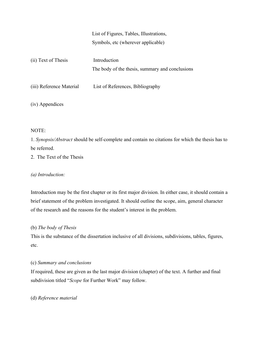# List of Figures, Tables, Illustrations, Symbols, etc (wherever applicable)

| (ii) Text of Thesis      | Introduction<br>The body of the thesis, summary and conclusions |
|--------------------------|-----------------------------------------------------------------|
| (iii) Reference Material | List of References, Bibliography                                |

(iv) Appendices

### NOTE:

1. *Synopsis/Abstract* should be self-complete and contain no citations for which the thesis has to be referred.

2. The Text of the Thesis

### *(a) Introduction:*

Introduction may be the first chapter or its first major division. In either case, it should contain a brief statement of the problem investigated. It should outline the scope, aim, general character of the research and the reasons for the student's interest in the problem.

### (b) *The body of Thesis*

This is the substance of the dissertation inclusive of all divisions, subdivisions, tables, figures, etc.

### (c) *Summary and conclusions*

If required, these are given as the last major division (chapter) of the text. A further and final subdivision titled "*Scope* for Further Work" may follow.

### (d) *Reference material*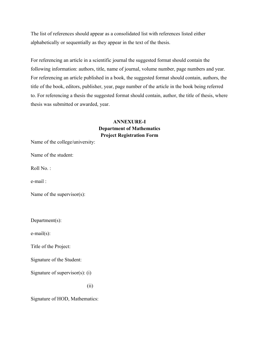The list of references should appear as a consolidated list with references listed either alphabetically or sequentially as they appear in the text of the thesis.

For referencing an article in a scientific journal the suggested format should contain the following information: authors, title, name of journal, volume number, page numbers and year. For referencing an article published in a book, the suggested format should contain, authors, the title of the book, editors, publisher, year, page number of the article in the book being referred to. For referencing a thesis the suggested format should contain, author, the title of thesis, where thesis was submitted or awarded, year.

### **ANNEXURE-I Department of Mathematics Project Registration Form**

Name of the college/university:

Name of the student:

Roll No.:

e-mail :

Name of the supervisor(s):

Department(s):

e-mail(s):

Title of the Project:

Signature of the Student:

Signature of supervisor(s): (i)

(ii)

Signature of HOD, Mathematics: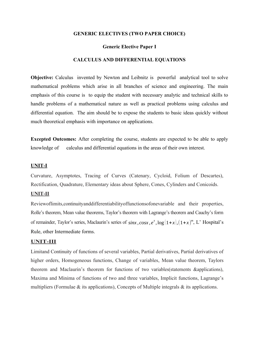### **GENERIC ELECTIVES (TWO PAPER CHOICE)**

### **Generic Elective Paper I**

### **CALCULUS AND DIFFERENTIAL EQUATIONS**

**Objective:** Calculus invented by Newton and Leibnitz is powerful analytical tool to solve mathematical problems which arise in all branches of science and engineering. The main emphasis of this course is to equip the student with necessary analytic and technical skills to handle problems of a mathematical nature as well as practical problems using calculus and differential equation. The aim should be to expose the students to basic ideas quickly without much theoretical emphasis with importance on applications.

**Excepted Outcomes:** After completing the course, students are expected to be able to apply knowledge of calculus and differential equations in the areas of their own interest.

### **UNIT-I**

Curvature, Asymptotes, Tracing of Curves (Catenary, Cycloid, Folium of Descartes), Rectification, Quadrature, Elementary ideas about Sphere, Cones, Cylinders and Conicoids.

### **UNIT-II**

Reviewoflimits,continuityanddifferentiabilityoffunctionsofonevariable and their properties, Rolle's theorem, Mean value theorems, Taylor's theorem with Lagrange's theorem and Cauchy's form of remainder, Taylor's series, Maclaurin's series of  $sinx$ ,  $cosx$ ,  $e^x$ ,  $log(1+x)$ ,  $(1+x)^m$ , L' Hospital's Rule, other Intermediate forms.

### **UNIT-III**

Limitand Continuity of functions of several variables, Partial derivatives, Partial derivatives of higher orders, Homogeneous functions, Change of variables, Mean value theorem, Taylors theorem and Maclaurin's theorem for functions of two variables(statements &applications), Maxima and Minima of functions of two and three variables, Implicit functions, Lagrange's multipliers (Formulae & its applications), Concepts of Multiple integrals & its applications.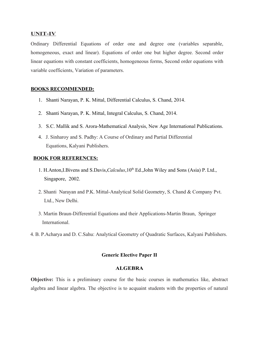### **UNIT-IV**

Ordinary Differential Equations of order one and degree one (variables separable, homogeneous, exact and linear). Equations of order one but higher degree. Second order linear equations with constant coefficients, homogeneous forms, Second order equations with variable coefficients, Variation of parameters.

### **BOOKS RECOMMENDED:**

- 1. Shanti Narayan, P. K. Mittal, Differential Calculus, S. Chand, 2014.
- 2. Shanti Narayan, P. K. Mittal, Integral Calculus, S. Chand, 2014.
- 3. S.C. Mallik and S. Arora-Mathematical Analysis, New Age International Publications.
- 4. J. Sinharoy and S. Padhy: A Course of Ordinary and Partial Differential Equations, Kalyani Publishers.

### **BOOK FOR REFERENCES:**

- 1. H.Anton, I.Bivens and S.Davis, *Calculus*,  $10^{th}$  Ed., John Wiley and Sons (Asia) P. Ltd., Singapore, 2002.
- 2. Shanti Narayan and P.K. Mittal-Analytical Solid Geometry, S. Chand & Company Pvt. Ltd., New Delhi.
- 3. Martin Braun-Differential Equations and their Applications-Martin Braun, Springer International.
- 4. B. P.Acharya and D. C.Sahu: Analytical Geometry of Quadratic Surfaces, Kalyani Publishers.

### **Generic Elective Paper II**

### **ALGEBRA**

**Objective:** This is a preliminary course for the basic courses in mathematics like, abstract algebra and linear algebra. The objective is to acquaint students with the properties of natural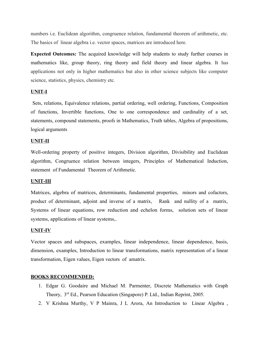numbers i.e. Euclidean algorithm, congruence relation, fundamental theorem of arithmetic, etc. The basics of linear algebra i.e. vector spaces, matrices are introduced here.

**Expected Outcomes:** The acquired knowledge will help students to study further courses in mathematics like, group theory, ring theory and field theory and linear algebra. It has applications not only in higher mathematics but also in other science subjects like computer science, statistics, physics, chemistry etc.

### **UNIT-I**

 Sets, relations, Equivalence relations, partial ordering, well ordering, Functions, Composition of functions, Invertible functions, One to one correspondence and cardinality of a set, statements, compound statements, proofs in Mathematics, Truth tables, Algebra of propositions, logical arguments

### **UNIT-II**

Well-ordering property of positive integers, Division algorithm, Divisibility and Euclidean algorithm, Congruence relation between integers, Principles of Mathematical Induction, statement of Fundamental Theorem of Arithmetic.

### **UNIT-III**

Matrices, algebra of matrices, determinants, fundamental properties, minors and cofactors, product of determinant, adjoint and inverse of a matrix, Rank and nullity of a matrix, Systems of linear equations, row reduction and echelon forms, solution sets of linear systems, applications of linear systems,.

#### **UNIT-IV**

Vector spaces and subspaces, examples, linear independence, linear dependence, basis, dimension, examples, Introduction to linear transformations, matrix representation of a linear transformation, Eigen values, Eigen vectors of amatrix.

### **BOOKS RECOMMENDED:**

- 1. Edgar G. Goodaire and Michael M. Parmenter, Discrete Mathematics with Graph Theory, 3<sup>rd</sup> Ed., Pearson Education (Singapore) P. Ltd., Indian Reprint, 2005.
- 2. V Krishna Murthy, V P Mainra, J L Arora, An Introduction to Linear Algebra ,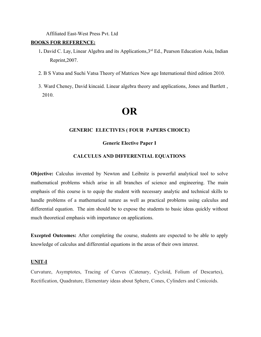Affiliated East-West Press Pvt. Ltd

### **BOOKS FOR REFERENCE:**

- 1**.** David C. Lay, Linear Algebra and its Applications,3rd Ed., Pearson Education Asia, Indian Reprint,2007.
- 2. B S Vatsa and Suchi Vatsa Theory of Matrices New age International third edition 2010.
- 3. Ward Cheney, David kincaid. Linear algebra theory and applications, Jones and Bartlett , 2010.

# **OR**

### **GENERIC ELECTIVES ( FOUR PAPERS CHOICE)**

### **Generic Elective Paper I**

### **CALCULUS AND DIFFERENTIAL EQUATIONS**

**Objective:** Calculus invented by Newton and Leibnitz is powerful analytical tool to solve mathematical problems which arise in all branches of science and engineering. The main emphasis of this course is to equip the student with necessary analytic and technical skills to handle problems of a mathematical nature as well as practical problems using calculus and differential equation. The aim should be to expose the students to basic ideas quickly without much theoretical emphasis with importance on applications.

**Excepted Outcomes:** After completing the course, students are expected to be able to apply knowledge of calculus and differential equations in the areas of their own interest.

### **UNIT-I**

Curvature, Asymptotes, Tracing of Curves (Catenary, Cycloid, Folium of Descartes), Rectification, Quadrature, Elementary ideas about Sphere, Cones, Cylinders and Conicoids.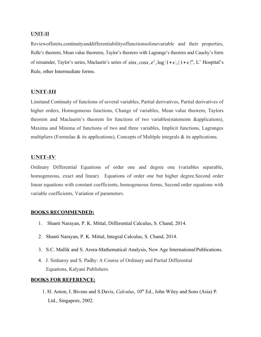### **UNIT-II**

Reviewoflimits,continuityanddifferentiabilityoffunctionsofonevariable and their properties, Rolle's theorem, Mean value theorems, Taylor's theorem with Lagrange's theorem and Cauchy's form of remainder, Taylor's series, Maclaurin's series of *sinx , cosx , e x ,*log (1+*x* )*,*(1+*x* ) *m* , L' Hospital's Rule, other Intermediate forms.

### **UNIT-III**

Limitand Continuity of functions of several variables, Partial derivatives, Partial derivatives of higher orders, Homogeneous functions, Change of variables, Mean value theorem, Taylors theorem and Maclaurin's theorem for functions of two variables(statements &applications), Maxima and Minima of functions of two and three variables, Implicit functions, Lagranges multipliers (Formulae  $\&$  its applications), Concepts of Multiple integrals  $\&$  its applications.

### **UNIT-IV**

Ordinary Differential Equations of order one and degree one (variables separable, homogeneous, exact and linear). Equations of order one but higher degree.Second order linear equations with constant coefficients, homogeneous forms, Second order equations with variable coefficients, Variation of parameters.

### **BOOKS RECOMMENDED:**

- 1. Shanti Narayan, P. K. Mittal, Differential Calculus, S. Chand, 2014.
- 2. Shanti Narayan, P. K. Mittal, Integral Calculus, S. Chand, 2014.
- 3. S.C. Mallik and S. Arora-Mathematical Analysis, New Age International Publications.
- 4. J. Sinharoy and S. Padhy: A Course of Ordinary and Partial Differential Equations, Kalyani Publishers.

### **BOOKS FOR REFERENCE:**

1. H. Anton, I. Bivens and S.Davis, *Calculus*, 10th Ed., John Wiley and Sons (Asia) P. Ltd., Singapore, 2002.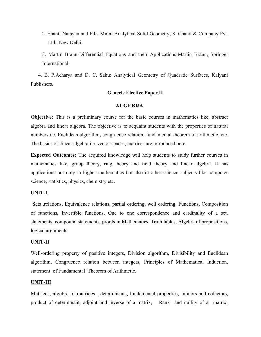- 2. Shanti Narayan and P.K. Mittal-Analytical Solid Geometry, S. Chand & Company Pvt. Ltd., New Delhi.
- 3. Martin Braun-Differential Equations and their Applications-Martin Braun, Springer **International**

 4. B. P.Acharya and D. C. Sahu: Analytical Geometry of Quadratic Surfaces, Kalyani Publishers.

### **Generic Elective Paper II**

### **ALGEBRA**

**Objective:** This is a preliminary course for the basic courses in mathematics like, abstract algebra and linear algebra. The objective is to acquaint students with the properties of natural numbers i.e. Euclidean algorithm, congruence relation, fundamental theorem of arithmetic, etc. The basics of linear algebra i.e. vector spaces, matrices are introduced here.

**Expected Outcomes:** The acquired knowledge will help students to study further courses in mathematics like, group theory, ring theory and field theory and linear algebra. It has applications not only in higher mathematics but also in other science subjects like computer science, statistics, physics, chemistry etc.

### **UNIT-I**

 Sets ,relations, Equivalence relations, partial ordering, well ordering, Functions, Composition of functions, Invertible functions, One to one correspondence and cardinality of a set, statements, compound statements, proofs in Mathematics, Truth tables, Algebra of propositions, logical arguments

### **UNIT-II**

Well-ordering property of positive integers, Division algorithm, Divisibility and Euclidean algorithm, Congruence relation between integers, Principles of Mathematical Induction, statement of Fundamental Theorem of Arithmetic.

### **UNIT-III**

Matrices, algebra of matrices , determinants, fundamental properties, minors and cofactors, product of determinant, adjoint and inverse of a matrix, Rank and nullity of a matrix,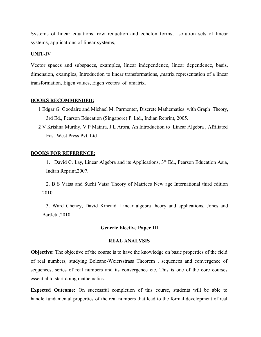Systems of linear equations, row reduction and echelon forms, solution sets of linear systems, applications of linear systems,.

### **UNIT-IV**

Vector spaces and subspaces, examples, linear independence, linear dependence, basis, dimension, examples, Introduction to linear transformations, ,matrix representation of a linear transformation, Eigen values, Eigen vectors of amatrix.

### **BOOKS RECOMMENDED:**

- 1 Edgar G. Goodaire and Michael M. Parmenter, Discrete Mathematics with Graph Theory, 3rd Ed., Pearson Education (Singapore) P. Ltd., Indian Reprint, 2005.
- 2 V Krishna Murthy, V P Mainra, J L Arora, An Introduction to Linear Algebra , Affiliated East-West Press Pvt. Ltd

### **BOOKS FOR REFERENCE:**

1**.** David C. Lay, Linear Algebra and its Applications, 3rd Ed., Pearson Education Asia, Indian Reprint,2007.

2. B S Vatsa and Suchi Vatsa Theory of Matrices New age International third edition 2010.

3. Ward Cheney, David Kincaid. Linear algebra theory and applications, Jones and Bartlett ,2010

### **Generic Elective Paper III**

### **REAL ANALYSIS**

**Objective:** The objective of the course is to have the knowledge on basic properties of the field of real numbers, studying Bolzano-Weiersstrass Theorem , sequences and convergence of sequences, series of real numbers and its convergence etc. This is one of the core courses essential to start doing mathematics.

**Expected Outcome:** On successful completion of this course, students will be able to handle fundamental properties of the real numbers that lead to the formal development of real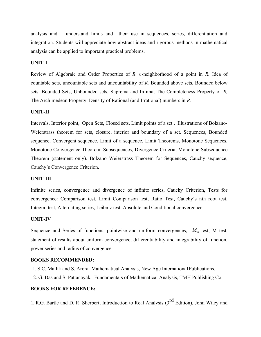analysis and understand limits and their use in sequences, series, differentiation and integration. Students will appreciate how abstract ideas and rigorous methods in mathematical analysis can be applied to important practical problems.

### **UNIT-I**

Review of Algebraic and Order Properties of *R, ε*-neighborhood of a point in *R,* Idea of countable sets, uncountable sets and uncountability of *R,* Bounded above sets, Bounded below sets, Bounded Sets, Unbounded sets, Suprema and Infima, The Completeness Property of *R,* The Archimedean Property, Density of Rational (and Irrational) numbers in *R.*

### **UNIT-II**

Intervals, Interior point, Open Sets, Closed sets, Limit points of a set , Illustrations of Bolzano-Weierstrass theorem for sets, closure, interior and boundary of a set. Sequences, Bounded sequence, Convergent sequence, Limit of a sequence. Limit Theorems, Monotone Sequences, Monotone Convergence Theorem. Subsequences, Divergence Criteria, Monotone Subsequence Theorem (statement only). Bolzano Weierstrass Theorem for Sequences, Cauchy sequence, Cauchy's Convergence Criterion.

### **UNIT-III**

Infinite series, convergence and divergence of infinite series, Cauchy Criterion, Tests for convergence: Comparison test, Limit Comparison test, Ratio Test, Cauchy's nth root test, Integral test, Alternating series, Leibniz test, Absolute and Conditional convergence.

### **UNIT-IV**

Sequence and Series of functions, pointwise and uniform convergences,  $M_n$  test, M test, statement of results about uniform convergence, differentiability and integrability of function, power series and radius of convergence.

### **BOOKS RECOMMENDED:**

- 1. S.C. Mallik and S. Arora- Mathematical Analysis, New Age International Publications.
- 2. G. Das and S. Pattanayak, Fundamentals of Mathematical Analysis, TMH Publishing Co.

### **BOOKS FOR REFERENCE:**

1. R.G. Bartle and D. R. Sherbert, Introduction to Real Analysis (3<sup>rd</sup> Edition), John Wiley and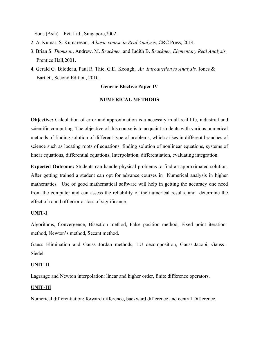Sons (Asia) Pvt. Ltd., Singapore,2002.

- 2. A. Kumar, S. Kumaresan, *A basic course in Real Analysis*, CRC Press, 2014.
- 3. Brian S. *Thomson*, Andrew. M. *Bruckner*, and Judith B. *Bruckner*, *Elementary Real Analysis,* Prentice Hall,2001.
- 4. Gerald G. Bilodeau, Paul R. Thie, G.E. Keough, *An Introduction to Analysis,* Jones & Bartlett, Second Edition, 2010.

### **Generic Elective Paper IV**

### **NUMERICAL METHODS**

**Objective:** Calculation of error and approximation is a necessity in all real life, industrial and scientific computing. The objective of this course is to acquaint students with various numerical methods of finding solution of different type of problems, which arises in different branches of science such as locating roots of equations, finding solution of nonlinear equations, systems of linear equations, differential equations, Interpolation, differentiation, evaluating integration.

**Expected Outcome:** Students can handle physical problems to find an approximated solution. After getting trained a student can opt for advance courses in Numerical analysis in higher mathematics. Use of good mathematical software will help in getting the accuracy one need from the computer and can assess the reliability of the numerical results, and determine the effect of round off error or loss of significance.

### **UNIT-I**

Algorithms, Convergence, Bisection method, False position method, Fixed point iteration method, Newton's method, Secant method.

Gauss Elimination and Gauss Jordan methods, LU decomposition, Gauss-Jacobi, Gauss-Siedel.

### **UNIT-II**

Lagrange and Newton interpolation: linear and higher order, finite difference operators.

### **UNIT-III**

Numerical differentiation: forward difference, backward difference and central Difference.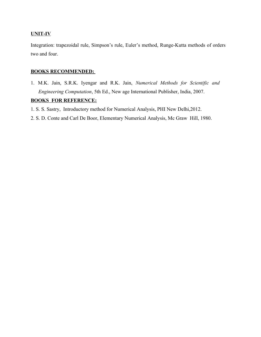### **UNIT-IV**

Integration: trapezoidal rule, Simpson's rule, Euler's method, Runge-Kutta methods of orders two and four.

### **BOOKS RECOMMENDED:**

1. M.K. Jain, S.R.K. Iyengar and R.K. Jain, *Numerical Methods for Scientific and Engineering Computation*, 5th Ed., New age International Publisher, India, 2007.

### **BOOKS FOR REFERENCE:**

- 1. S. S. Sastry, Introductory method for Numerical Analysis, PHI New Delhi,2012.
- 2. S. D. Conte and Carl De Boor, Elementary Numerical Analysis, Mc Graw Hill, 1980.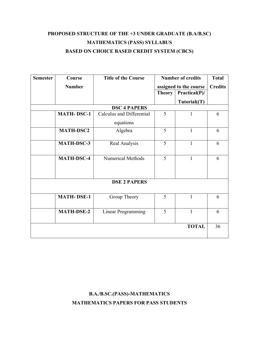# **PROPOSED STRUCTURE OF THE +3 UNDER GRADUATE (B.A/B.SC) MATHEMATICS (PASS) SYLLABUS BASED ON CHOICE BASED CREDIT SYSTEM (CBCS)**

| <b>Semester</b>     | Course            | <b>Title of the Course</b> | <b>Number of credits</b> |               | <b>Total</b>   |  |
|---------------------|-------------------|----------------------------|--------------------------|---------------|----------------|--|
|                     | <b>Number</b>     |                            | assigned to the course   |               | <b>Credits</b> |  |
|                     |                   |                            | <b>Theory</b>            | Practical(P)/ |                |  |
|                     |                   |                            |                          | Tutorial(T)   |                |  |
| <b>DSC 4 PAPERS</b> |                   |                            |                          |               |                |  |
|                     | <b>MATH-DSC-1</b> | Calculus and Differential  | 5                        | 1             | 6              |  |
|                     |                   | equations                  |                          |               |                |  |
|                     | <b>MATH-DSC2</b>  | Algebra                    | 5                        | $\mathbf{1}$  | 6              |  |
|                     | <b>MATH-DSC-3</b> | Real Analysis              | 5                        | 1             | 6              |  |
|                     | <b>MATH-DSC-4</b> | Numerical Methods          | 5                        | $\mathbf{1}$  | 6              |  |
| <b>DSE 2 PAPERS</b> |                   |                            |                          |               |                |  |
|                     | <b>MATH-DSE-1</b> | Group Theory               | 5                        | 1             | 6              |  |
|                     | <b>MATH-DSE-2</b> | <b>Linear Programming</b>  | 5                        | $\mathbf{1}$  | 6              |  |
|                     |                   |                            |                          | <b>TOTAL</b>  | 36             |  |

# **B.A./B.SC.(PASS)-MATHEMATICS MATHEMATICS PAPERS FOR PASS STUDENTS**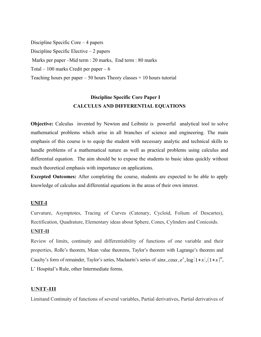Discipline Specific Core – 4 papers Discipline Specific Elective – 2 papers Marks per paper –Mid term : 20 marks, End term : 80 marks Total – 100 marks Credit per paper –  $6$ Teaching hours per paper  $-50$  hours Theory classes  $+10$  hours tutorial

# **Discipline Specific Core Paper I CALCULUS AND DIFFERENTIAL EQUATIONS**

**Objective:** Calculus invented by Newton and Leibnitz is powerful analytical tool to solve mathematical problems which arise in all branches of science and engineering. The main emphasis of this course is to equip the student with necessary analytic and technical skills to handle problems of a mathematical nature as well as practical problems using calculus and differential equation. The aim should be to expose the students to basic ideas quickly without much theoretical emphasis with importance on applications.

**Excepted Outcomes:** After completing the course, students are expected to be able to apply knowledge of calculus and differential equations in the areas of their own interest.

### **UNIT-I**

Curvature, Asymptotes, Tracing of Curves (Catenary, Cycloid, Folium of Descartes), Rectification, Quadrature, Elementary ideas about Sphere, Cones, Cylinders and Conicoids.

### **UNIT-II**

Review of limits, continuity and differentiability of functions of one variable and their properties, Rolle's theorem, Mean value theorems, Taylor's theorem with Lagrange's theorem and Cauchy's form of remainder, Taylor's series, Maclaurin's series of *sinx*,  $cos x$ ,  $e^x$ ,  $log(1+x)$ ,  $(1+x)^m$ , L' Hospital's Rule, other Intermediate forms.

### **UNIT-III**

Limitand Continuity of functions of several variables, Partial derivatives, Partial derivatives of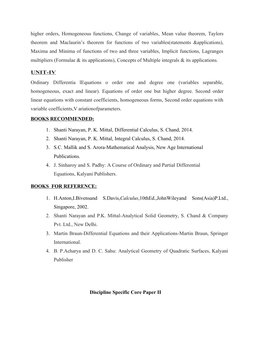higher orders, Homogeneous functions, Change of variables, Mean value theorem, Taylors theorem and Maclaurin's theorem for functions of two variables(statements &applications), Maxima and Minima of functions of two and three variables, Implicit functions, Lagranges multipliers (Formulae  $\&$  its applications), Concepts of Multiple integrals  $\&$  its applications.

### **UNIT-IV**

Ordinary Differentia lEquations o order one and degree one (variables separable, homogeneous, exact and linear). Equations of order one but higher degree. Second order linear equations with constant coefficients, homogeneous forms, Second order equations with variable coefficients,V ariationofparameters.

### **BOOKS RECOMMENDED:**

- 1. Shanti Narayan, P. K. Mittal, Differential Calculus, S. Chand, 2014.
- 2. Shanti Narayan, P. K. Mittal, Integral Calculus, S. Chand, 2014.
- 3. S.C. Mallik and S. Arora-Mathematical Analysis, New Age International Publications.
- 4. J. Sinharoy and S. Padhy: A Course of Ordinary and Partial Differential Equations, Kalyani Publishers.

### **BOOKS FOR REFERENCE:**

- 1. H.Anton,I.Bivensand S.Davis,*Calculus*,10thEd.,JohnWileyand Sons(Asia)P.Ltd., Singapore, 2002.
- 2. Shanti Narayan and P.K. Mittal-Analytical Solid Geometry, S. Chand & Company Pvt. Ltd., New Delhi.
- 3. Martin Braun-Differential Equations and their Applications-Martin Braun, Springer International.
- 4. B. P.Acharya and D. C. Sahu: Analytical Geometry of Quadratic Surfaces, Kalyani Publisher

### **Discipline Specific Core Paper II**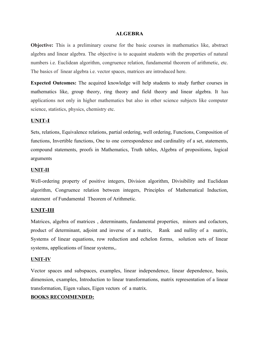### **ALGEBRA**

**Objective:** This is a preliminary course for the basic courses in mathematics like, abstract algebra and linear algebra. The objective is to acquaint students with the properties of natural numbers i.e. Euclidean algorithm, congruence relation, fundamental theorem of arithmetic, etc. The basics of linear algebra i.e. vector spaces, matrices are introduced here.

**Expected Outcomes:** The acquired knowledge will help students to study further courses in mathematics like, group theory, ring theory and field theory and linear algebra. It has applications not only in higher mathematics but also in other science subjects like computer science, statistics, physics, chemistry etc.

### **UNIT-I**

Sets, relations, Equivalence relations, partial ordering, well ordering, Functions, Composition of functions, Invertible functions, One to one correspondence and cardinality of a set, statements, compound statements, proofs in Mathematics, Truth tables, Algebra of propositions, logical arguments

### **UNIT-II**

Well-ordering property of positive integers, Division algorithm, Divisibility and Euclidean algorithm, Congruence relation between integers, Principles of Mathematical Induction, statement of Fundamental Theorem of Arithmetic.

### **UNIT-III**

Matrices, algebra of matrices , determinants, fundamental properties, minors and cofactors, product of determinant, adjoint and inverse of a matrix, Rank and nullity of a matrix, Systems of linear equations, row reduction and echelon forms, solution sets of linear systems, applications of linear systems,.

### **UNIT-IV**

Vector spaces and subspaces, examples, linear independence, linear dependence, basis, dimension, examples, Introduction to linear transformations, matrix representation of a linear transformation, Eigen values, Eigen vectors of a matrix.

### **BOOKS RECOMMENDED:**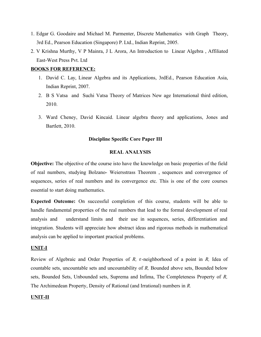- 1. Edgar G. Goodaire and Michael M. Parmenter, Discrete Mathematics with Graph Theory, 3rd Ed., Pearson Education (Singapore) P. Ltd., Indian Reprint, 2005.
- 2. V Krishna Murthy, V P Mainra, J L Arora, An Introduction to Linear Algebra , Affiliated East-West Press Pvt. Ltd

### **BOOKS FOR REFERENCE:**

- 1. David C. Lay, Linear Algebra and its Applications, 3rdEd., Pearson Education Asia, Indian Reprint, 2007.
- 2. B S Vatsa and Suchi Vatsa Theory of Matrices New age International third edition, 2010.
- 3. Ward Cheney, David Kincaid. Linear algebra theory and applications, Jones and Bartlett, 2010.

### **Discipline Specific Core Paper III**

### **REAL ANALYSIS**

**Objective:** The objective of the course isto have the knowledge on basic properties of the field of real numbers, studying Bolzano- Weiersstrass Theorem , sequences and convergence of sequences, series of real numbers and its convergence etc. This is one of the core courses essential to start doing mathematics.

**Expected Outcome:** On successful completion of this course, students will be able to handle fundamental properties of the real numbers that lead to the formal development of real analysis and understand limits and their use in sequences, series, differentiation and integration. Students will appreciate how abstract ideas and rigorous methods in mathematical analysis can be applied to important practical problems.

### **UNIT-I**

Review of Algebraic and Order Properties of *R, ε*-neighborhood of a point in *R,* Idea of countable sets, uncountable sets and uncountability of *R,* Bounded above sets, Bounded below sets, Bounded Sets, Unbounded sets, Suprema and Infima, The Completeness Property of *R,* The Archimedean Property, Density of Rational (and Irrational) numbers in *R.*

### **UNIT-II**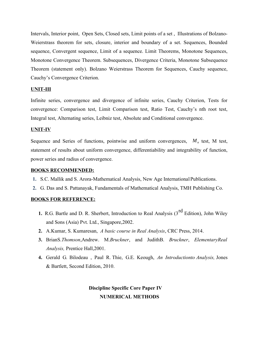Intervals, Interior point, Open Sets, Closed sets, Limit points of a set , Illustrations of Bolzano-Weierstrass theorem for sets, closure, interior and boundary of a set. Sequences, Bounded sequence, Convergent sequence, Limit of a sequence. Limit Theorems, Monotone Sequences, Monotone Convergence Theorem. Subsequences, Divergence Criteria, Monotone Subsequence Theorem (statement only). Bolzano Weierstrass Theorem for Sequences, Cauchy sequence, Cauchy's Convergence Criterion.

### **UNIT-III**

Infinite series, convergence and divergence of infinite series, Cauchy Criterion, Tests for convergence: Comparison test, Limit Comparison test, Ratio Test, Cauchy's nth root test, Integral test, Alternating series, Leibniz test, Absolute and Conditional convergence.

### **UNIT-IV**

Sequence and Series of functions, pointwise and uniform convergences,  $M_n$  test, M test, statement of results about uniform convergence, differentiability and integrability of function, power series and radius of convergence.

### **BOOKS RECOMMENDED:**

- **1.** S.C. Mallik and S. Arora-Mathematical Analysis, New Age International Publications.
- **2.** G. Das and S. Pattanayak, Fundamentals of Mathematical Analysis, TMH Publishing Co.

### **BOOKS FOR REFERENCE:**

- **1.** R.G. Bartle and D. R. Sherbert, Introduction to Real Analysis (3<sup>rd</sup> Edition), John Wiley and Sons (Asia) Pvt. Ltd., Singapore,2002.
- **2.** A.Kumar, S. Kumaresan, *A basic course in Real Analysis*, CRC Press, 2014.
- **3.** BrianS.*Thomson*,Andrew. M.*Bruckner*, and JudithB. *Bruckner*, *ElementaryReal Analysis,* Prentice Hall,2001.
- **4.** Gerald G. Bilodeau , Paul R. Thie, G.E. Keough, *An Introductionto Analysis,* Jones & Bartlett, Second Edition, 2010.

## **Discipline Specific Core Paper IV NUMERICAL METHODS**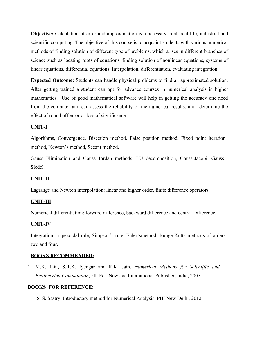**Objective:** Calculation of error and approximation is a necessity in all real life, industrial and scientific computing. The objective of this course is to acquaint students with various numerical methods of finding solution of different type of problems, which arises in different branches of science such as locating roots of equations, finding solution of nonlinear equations, systems of linear equations, differential equations, Interpolation, differentiation, evaluating integration.

**Expected Outcome:** Students can handle physical problems to find an approximated solution. After getting trained a student can opt for advance courses in numerical analysis in higher mathematics. Use of good mathematical software will help in getting the accuracy one need from the computer and can assess the reliability of the numerical results, and determine the effect of round off error or loss of significance.

### **UNIT-I**

Algorithms, Convergence, Bisection method, False position method, Fixed point iteration method, Newton's method, Secant method.

Gauss Elimination and Gauss Jordan methods, LU decomposition, Gauss-Jacobi, Gauss-Siedel.

### **UNIT-II**

Lagrange and Newton interpolation: linear and higher order, finite difference operators.

### **UNIT-III**

Numerical differentiation: forward difference, backward difference and central Difference.

### **UNIT-IV**

Integration: trapezoidal rule, Simpson's rule, Euler'smethod, Runge-Kutta methods of orders two and four.

### **BOOKS RECOMMENDED:**

1. M.K. Jain, S.R.K. Iyengar and R.K. Jain, *Numerical Methods for Scientific and Engineering Computation*, 5th Ed., New age International Publisher, India, 2007.

### **BOOKS FOR REFERENCE:**

1. S. S. Sastry, Introductory method for Numerical Analysis, PHI New Delhi, 2012.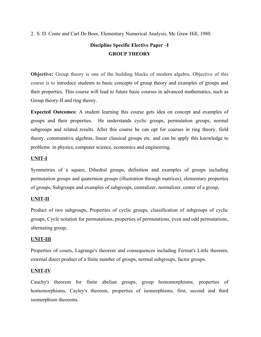2. S. D. Conte and Carl De Boor, Elementary Numerical Analysis, Mc Graw Hill, 1980.

# **Discipline Specific Elective Paper –I GROUP THEORY**

**Objective:** Group theory is one of the building blocks of modern algebra. Objective of this course is to introduce students to basic concepts of group theory and examples of groups and their properties. This course will lead to future basic courses in advanced mathematics, such as Group theory-II and ring theory.

**Expected Outcomes:** A student learning this course gets idea on concept and examples of groups and their properties. He understands cyclic groups, permutation groups, normal subgroups and related results. After this course he can opt for courses in ring theory, field theory, commutative algebras, linear classical groups etc. and can be apply this knowledge to problems in physics, computer science, economics and engineering.

### **UNIT-I**

Symmetries of a square, Dihedral groups, definition and examples of groups including permutation groups and quaternion groups (illustration through matrices), elementary properties of groups, Subgroups and examples of subgroups, centralizer, normalizer, center of a group,

### **UNIT-II**

Product of two subgroups, Properties of cyclic groups, classification of subgroups of cyclic groups, Cycle notation for permutations, properties of permutations, even and odd permutations, alternating group,

### **UNIT-III**

Properties of cosets, Lagrange's theorem and consequences including Fermat's Little theorem, external direct product of a finite number of groups, normal subgroups, factor groups.

### **UNIT-IV**

Cauchy's theorem for finite abelian groups, group homomorphisms, properties of homomorphisms, Cayley's theorem, properties of isomorphisms, first, second and third isomorphism theorems.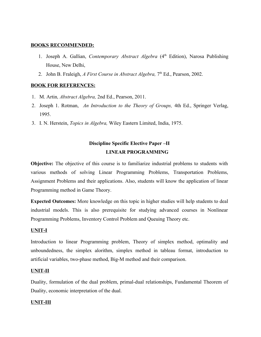### **BOOKS RECOMMENDED :**

- 1. Joseph A. Gallian, *Contemporary Abstract Algebra* (4<sup>th</sup> Edition), Narosa Publishing House, New Delhi,
- 2. John B. Fraleigh, *A First Course in Abstract Algebra*, 7<sup>th</sup> Ed., Pearson, 2002.

### **BOOK FOR REFERENCES:**

- 1. M. Artin*, Abstract Algebra,* 2nd Ed., Pearson, 2011.
- 2. Joseph 1. Rotman, *An Introduction to the Theory of Groups,* 4th Ed., Springer Verlag, 1995.
- 3. I. N. Herstein, *Topics in Algebra,* Wiley Eastern Limited, India, 1975.

# **Discipline Specific Elective Paper –II LINEAR PROGRAMMING**

**Objective:** The objective of this course is to familiarize industrial problems to students with various methods of solving Linear Programming Problems, Transportation Problems, Assignment Problems and their applications. Also, students will know the application of linear Programming method in Game Theory.

**Expected Outcomes:** More knowledge on this topic in higher studies will help students to deal industrial models. This is also prerequisite for studying advanced courses in Nonlinear Programming Problems, Inventory Control Problem and Queuing Theory etc.

### **UNIT-I**

Introduction to linear Programming problem, Theory of simplex method, optimality and unboundedness, the simplex alorithm, simplex method in tableau format, introduction to artificial variables, two-phase method, Big-M method and their comparison.

### **UNIT-II**

Duality, formulation of the dual problem, primal-dual relationships, Fundamental Theorem of Duality, economic interpretation of the dual.

### **UNIT-III**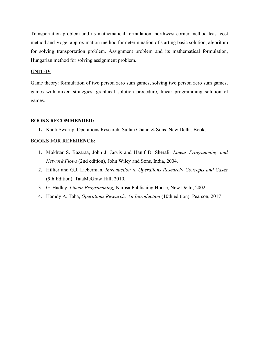Transportation problem and its mathematical formulation, northwest-corner method least cost method and Vogel approximation method for determination of starting basic solution, algorithm for solving transportation problem. Assignment problem and its mathematical formulation, Hungarian method for solving assignment problem.

### **UNIT-IV**

Game theory: formulation of two person zero sum games, solving two person zero sum games, games with mixed strategies, graphical solution procedure, linear programming solution of games.

### **BOOKS RECOMMENDED:**

**1.** Kanti Swarup, Operations Research, Sultan Chand & Sons, New Delhi. Books.

### **BOOKS FOR REFERENCE:**

- 1. Mokhtar S. Bazaraa, John J. Jarvis and Hanif D. Sherali, *Linear Programming and Network Flows* (2nd edition), John Wiley and Sons, India, 2004.
- 2. Hillier and G.J. Lieberman, *Introduction to Operations Research- Concepts and Cases* (9th Edition), TataMcGraw Hill, 2010.
- 3. G. Hadley, *Linear Programming,* Narosa Publishing House, New Delhi, 2002.
- 4. Hamdy A. Taha, *Operations Research: An Introduction* (10th edition), Pearson, 2017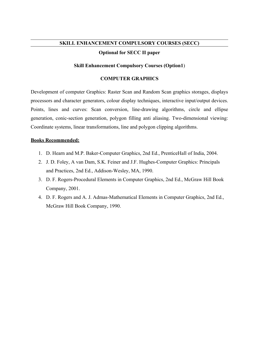### **SKILL ENHANCEMENT COMPULSORY COURSES (SECC)**

### **Optional for SECC II paper**

### **Skill Enhancement Compulsory Courses (Option1**)

### **COMPUTER GRAPHICS**

Development of computer Graphics: Raster Scan and Random Scan graphics storages, displays processors and character generators, colour display techniques, interactive input/output devices. Points, lines and curves: Scan conversion, line-drawing algorithms, circle and ellipse generation, conic-section generation, polygon filling anti aliasing. Two-dimensional viewing: Coordinate systems, linear transformations, line and polygon clipping algorithms.

### **Books Recommended:**

- 1. D. Hearn and M.P. Baker-Computer Graphics, 2nd Ed., PrenticeHall of India, 2004.
- 2. J. D. Foley, A van Dam, S.K. Feiner and J.F. Hughes-Computer Graphics: Principals and Practices, 2nd Ed., Addison-Wesley, MA, 1990.
- 3. D. F. Rogers-Procedural Elements in Computer Graphics, 2nd Ed., McGraw Hill Book Company, 2001.
- 4. D. F. Rogers and A. J. Admas-Mathematical Elements in Computer Graphics, 2nd Ed., McGraw Hill Book Company, 1990.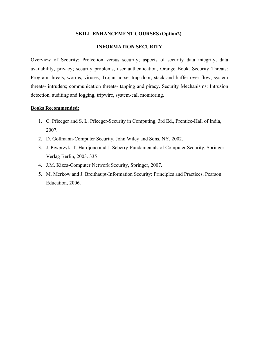### **SKILL ENHANCEMENT COURSES (Option2)-**

### **INFORMATION SECURITY**

Overview of Security: Protection versus security; aspects of security data integrity, data availability, privacy; security problems, user authentication, Orange Book. Security Threats: Program threats, worms, viruses, Trojan horse, trap door, stack and buffer over flow; system threats- intruders; communication threats- tapping and piracy. Security Mechanisms: Intrusion detection, auditing and logging, tripwire, system-call monitoring.

### **Books Recommended:**

- 1. C. Pfleeger and S. L. Pfleeger-Security in Computing, 3rd Ed., Prentice-Hall of India, 2007.
- 2. D. Gollmann-Computer Security, John Wiley and Sons, NY, 2002.
- 3. J. Piwprzyk, T. Hardjono and J. Seberry-Fundamentals of Computer Security, Springer-Verlag Berlin, 2003. 335
- 4. J.M. Kizza-Computer Network Security, Springer, 2007.
- 5. M. Merkow and J. Breithaupt-Information Security: Principles and Practices, Pearson Education, 2006.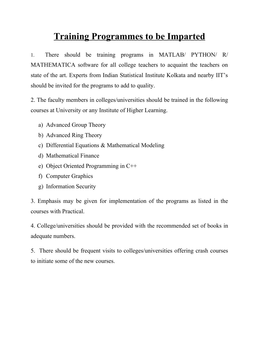# **Training Programmes to be Imparted**

1. There should be training programs in MATLAB/ PYTHON/ R/ MATHEMATICA software for all college teachers to acquaint the teachers on state of the art. Experts from Indian Statistical Institute Kolkata and nearby IIT's should be invited for the programs to add to quality.

2. The faculty members in colleges/universities should be trained in the following courses at University or any Institute of Higher Learning.

- a) Advanced Group Theory
- b) Advanced Ring Theory
- c) Differential Equations & Mathematical Modeling
- d) Mathematical Finance
- e) Object Oriented Programming in C++
- f) Computer Graphics
- g) Information Security

3. Emphasis may be given for implementation of the programs as listed in the courses with Practical.

4. College/universities should be provided with the recommended set of books in adequate numbers.

5. There should be frequent visits to colleges/universities offering crash courses to initiate some of the new courses.